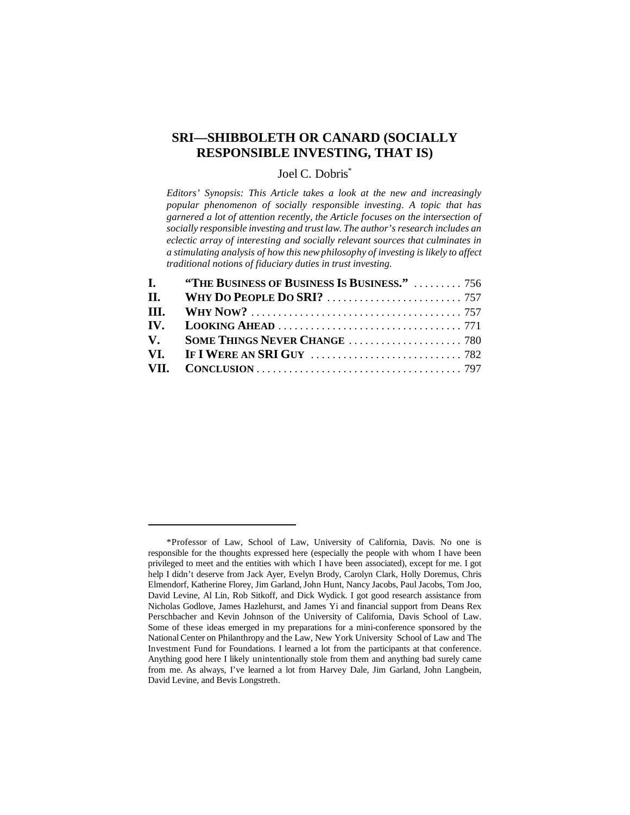# **SRI—SHIBBOLETH OR CANARD (SOCIALLY RESPONSIBLE INVESTING, THAT IS)**

## Joel C. Dobris\*

*Editors' Synopsis: This Article takes a look at the new and increasingly popular phenomenon of socially responsible investing. A topic that has garnered a lot of attention recently, the Article focuses on the intersection of socially responsible investing and trust law. The author's research includes an eclectic array of interesting and socially relevant sources that culminates in a stimulating analysis of how this new philosophy of investing is likely to affect traditional notions of fiduciary duties in trust investing.*

| I. <b>THE BUSINESS OF BUSINESS IS BUSINESS."</b> 756 |
|------------------------------------------------------|
|                                                      |
|                                                      |
|                                                      |
|                                                      |
|                                                      |
|                                                      |

<sup>\*</sup>Professor of Law, School of Law, University of California, Davis. No one is responsible for the thoughts expressed here (especially the people with whom I have been privileged to meet and the entities with which I have been associated), except for me. I got help I didn't deserve from Jack Ayer, Evelyn Brody, Carolyn Clark, Holly Doremus, Chris Elmendorf, Katherine Florey, Jim Garland, John Hunt, Nancy Jacobs, Paul Jacobs, Tom Joo, David Levine, Al Lin, Rob Sitkoff, and Dick Wydick. I got good research assistance from Nicholas Godlove, James Hazlehurst, and James Yi and financial support from Deans Rex Perschbacher and Kevin Johnson of the University of California, Davis School of Law. Some of these ideas emerged in my preparations for a mini-conference sponsored by the National Center on Philanthropy and the Law, New York University School of Law and The Investment Fund for Foundations. I learned a lot from the participants at that conference. Anything good here I likely unintentionally stole from them and anything bad surely came from me. As always, I've learned a lot from Harvey Dale, Jim Garland, John Langbein, David Levine, and Bevis Longstreth.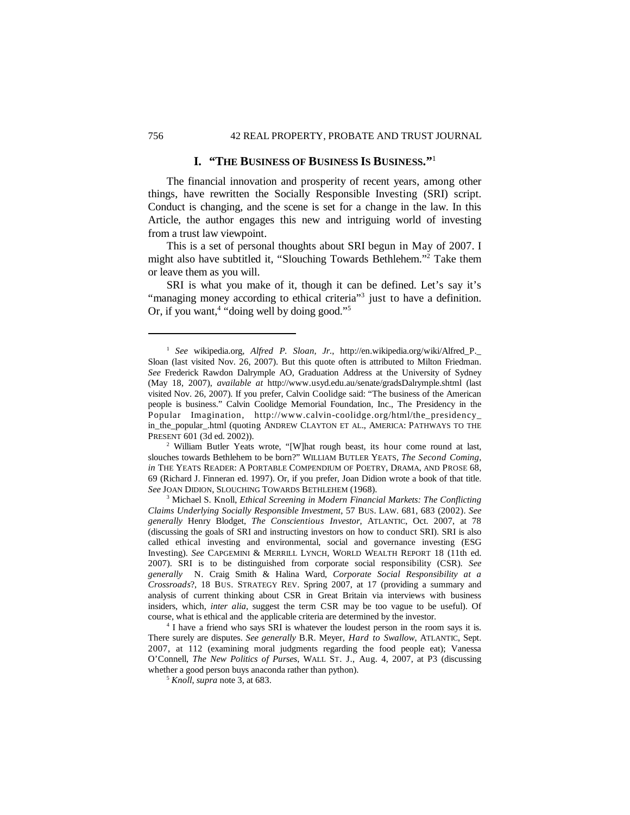#### **I. "THE BUSINESS OF BUSINESS IS BUSINESS."**<sup>1</sup>

The financial innovation and prosperity of recent years, among other things, have rewritten the Socially Responsible Investing (SRI) script. Conduct is changing, and the scene is set for a change in the law. In this Article, the author engages this new and intriguing world of investing from a trust law viewpoint.

This is a set of personal thoughts about SRI begun in May of 2007. I might also have subtitled it, "Slouching Towards Bethlehem."2 Take them or leave them as you will.

SRI is what you make of it, though it can be defined. Let's say it's "managing money according to ethical criteria"<sup>3</sup> just to have a definition. Or, if you want, $4$  "doing well by doing good."<sup>5</sup>

<sup>1</sup> *See* wikipedia.org, *Alfred P. Sloan, Jr.*, http://en.wikipedia.org/wiki/Alfred\_P.\_ Sloan (last visited Nov. 26, 2007). But this quote often is attributed to Milton Friedman. *See* Frederick Rawdon Dalrymple AO, Graduation Address at the University of Sydney (May 18, 2007), *available at* http://www.usyd.edu.au/senate/gradsDalrymple.shtml (last visited Nov. 26, 2007). If you prefer, Calvin Coolidge said: "The business of the American people is business." Calvin Coolidge Memorial Foundation, Inc., The Presidency in the Popular Imagination, http://www.calvin-coolidge.org/html/the\_presidency\_ in\_the\_popular\_.html (quoting ANDREW CLAYTON ET AL., AMERICA: PATHWAYS TO THE PRESENT 601 (3d ed. 2002)).

<sup>&</sup>lt;sup>2</sup> William Butler Yeats wrote, "[W]hat rough beast, its hour come round at last, slouches towards Bethlehem to be born?" WILLIAM BUTLER YEATS, *The Second Coming*, *in* THE YEATS READER: A PORTABLE COMPENDIUM OF POETRY, DRAMA, AND PROSE 68, 69 (Richard J. Finneran ed. 1997). Or, if you prefer, Joan Didion wrote a book of that title. *See* JOAN DIDION, SLOUCHING TOWARDS BETHLEHEM (1968).

<sup>3</sup> Michael S. Knoll, *Ethical Screening in Modern Financial Markets: The Conflicting Claims Underlying Socially Responsible Investment*, 57 BUS. LAW. 681, 683 (2002). *See generally* Henry Blodget, *The Conscientious Investor*, ATLANTIC, Oct. 2007, at 78 (discussing the goals of SRI and instructing investors on how to conduct SRI). SRI is also called ethical investing and environmental, social and governance investing (ESG Investing). *See* CAPGEMINI & MERRILL LYNCH, WORLD WEALTH REPORT 18 (11th ed. 2007). SRI is to be distinguished from corporate social responsibility (CSR). *See generally* N. Craig Smith & Halina Ward, *Corporate Social Responsibility at a Crossroads*?, 18 BUS. STRATEGY REV. Spring 2007, at 17 (providing a summary and analysis of current thinking about CSR in Great Britain via interviews with business insiders, which, *inter alia*, suggest the term CSR may be too vague to be useful). Of course, what is ethical and the applicable criteria are determined by the investor.

<sup>&</sup>lt;sup>4</sup> I have a friend who says SRI is whatever the loudest person in the room says it is. There surely are disputes. *See generally* B.R. Meyer, *Hard to Swallow*, ATLANTIC, Sept. 2007, at 112 (examining moral judgments regarding the food people eat); Vanessa O'Connell, *The New Politics of Purses*, WALL ST. J., Aug. 4, 2007, at P3 (discussing whether a good person buys anaconda rather than python).

<sup>5</sup> *Knoll*, *supra* note 3, at 683.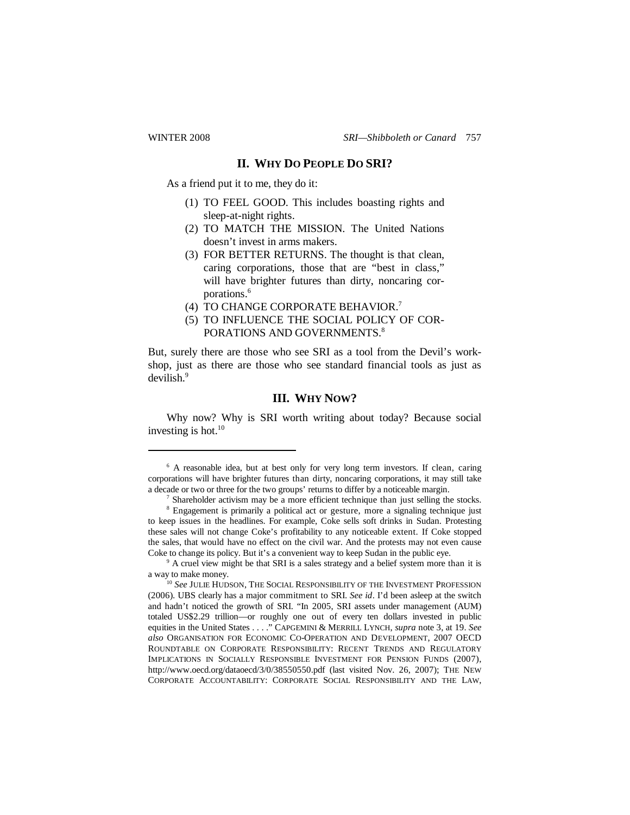## **II. WHY DO PEOPLE DO SRI?**

As a friend put it to me, they do it:

- (1) TO FEEL GOOD. This includes boasting rights and sleep-at-night rights.
- (2) TO MATCH THE MISSION. The United Nations doesn't invest in arms makers.
- (3) FOR BETTER RETURNS. The thought is that clean, caring corporations, those that are "best in class," will have brighter futures than dirty, noncaring corporations.<sup>6</sup>
- (4) TO CHANGE CORPORATE BEHAVIOR.7
- (5) TO INFLUENCE THE SOCIAL POLICY OF COR-PORATIONS AND GOVERNMENTS.<sup>8</sup>

But, surely there are those who see SRI as a tool from the Devil's workshop, just as there are those who see standard financial tools as just as devilish.9

#### **III. WHY NOW?**

Why now? Why is SRI worth writing about today? Because social investing is hot. $10$ 

<sup>&</sup>lt;sup>6</sup> A reasonable idea, but at best only for very long term investors. If clean, caring corporations will have brighter futures than dirty, noncaring corporations, it may still take a decade or two or three for the two groups' returns to differ by a noticeable margin.

 $7$  Shareholder activism may be a more efficient technique than just selling the stocks. <sup>8</sup> Engagement is primarily a political act or gesture, more a signaling technique just to keep issues in the headlines. For example, Coke sells soft drinks in Sudan. Protesting these sales will not change Coke's profitability to any noticeable extent. If Coke stopped the sales, that would have no effect on the civil war. And the protests may not even cause Coke to change its policy. But it's a convenient way to keep Sudan in the public eye.

<sup>&</sup>lt;sup>9</sup> A cruel view might be that SRI is a sales strategy and a belief system more than it is a way to make money.

<sup>&</sup>lt;sup>10</sup> See JULIE HUDSON, THE SOCIAL RESPONSIBILITY OF THE INVESTMENT PROFESSION (2006). UBS clearly has a major commitment to SRI. *See id*. I'd been asleep at the switch and hadn't noticed the growth of SRI. "In 2005, SRI assets under management (AUM) totaled US\$2.29 trillion—or roughly one out of every ten dollars invested in public equities in the United States . . . ." CAPGEMINI & MERRILL LYNCH, *supra* note 3, at 19. *See also* ORGANISATION FOR ECONOMIC CO-OPERATION AND DEVELOPMENT, 2007 OECD ROUNDTABLE ON CORPORATE RESPONSIBILITY: RECENT TRENDS AND REGULATORY IMPLICATIONS IN SOCIALLY RESPONSIBLE INVESTMENT FOR PENSION FUNDS (2007), http://www.oecd.org/dataoecd/3/0/38550550.pdf (last visited Nov. 26, 2007); THE NEW CORPORATE ACCOUNTABILITY: CORPORATE SOCIAL RESPONSIBILITY AND THE LAW,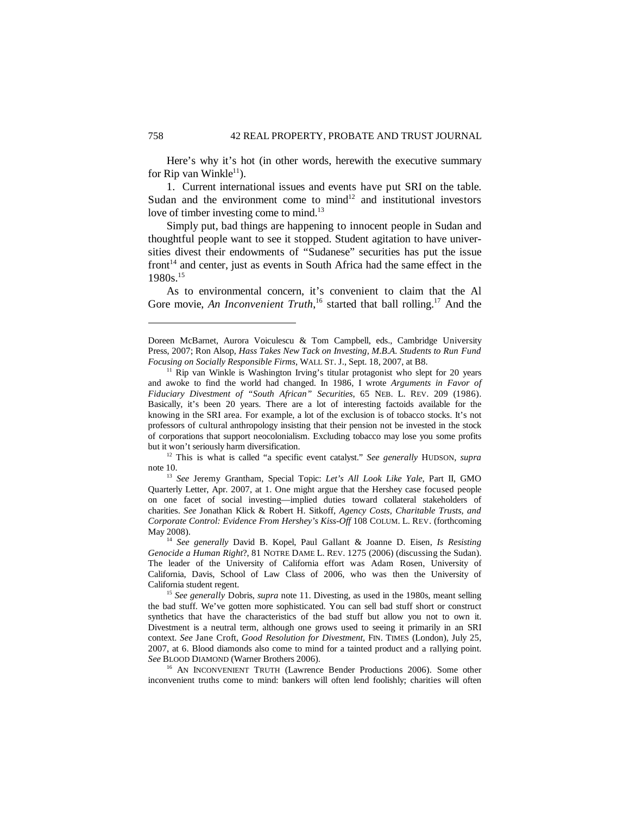Here's why it's hot (in other words, herewith the executive summary for Rip van Winkle<sup> $11$ </sup>).

1. Current international issues and events have put SRI on the table. Sudan and the environment come to mind $12$  and institutional investors love of timber investing come to mind.<sup>13</sup>

Simply put, bad things are happening to innocent people in Sudan and thoughtful people want to see it stopped. Student agitation to have universities divest their endowments of "Sudanese" securities has put the issue front<sup>14</sup> and center, just as events in South Africa had the same effect in the 1980s.<sup>15</sup>

As to environmental concern, it's convenient to claim that the Al Gore movie, *An Inconvenient Truth*,<sup>16</sup> started that ball rolling.<sup>17</sup> And the

Doreen McBarnet, Aurora Voiculescu & Tom Campbell, eds., Cambridge University Press, 2007; Ron Alsop, *Hass Takes New Tack on Investing, M.B.A. Students to Run Fund Focusing on Socially Responsible Firms*, WALL ST. J., Sept. 18, 2007, at B8.

 $11$  Rip van Winkle is Washington Irving's titular protagonist who slept for 20 years and awoke to find the world had changed. In 1986, I wrote *Arguments in Favor of Fiduciary Divestment of "South African" Securities*, 65 NEB. L. REV. 209 (1986). Basically, it's been 20 years. There are a lot of interesting factoids available for the knowing in the SRI area. For example, a lot of the exclusion is of tobacco stocks. It's not professors of cultural anthropology insisting that their pension not be invested in the stock of corporations that support neocolonialism. Excluding tobacco may lose you some profits but it won't seriously harm diversification.

<sup>12</sup> This is what is called "a specific event catalyst." *See generally* HUDSON, *supra* note 10.

<sup>13</sup> *See* Jeremy Grantham, Special Topic: *Let's All Look Like Yale*, Part II, GMO Quarterly Letter, Apr. 2007, at 1. One might argue that the Hershey case focused people on one facet of social investing—implied duties toward collateral stakeholders of charities. *See* Jonathan Klick & Robert H. Sitkoff, *Agency Costs, Charitable Trusts, and Corporate Control: Evidence From Hershey's Kiss-Off* 108 COLUM. L. REV. (forthcoming May 2008).

<sup>14</sup> *See generally* David B. Kopel, Paul Gallant & Joanne D. Eisen, *Is Resisting Genocide a Human Right*?, 81 NOTRE DAME L. REV. 1275 (2006) (discussing the Sudan). The leader of the University of California effort was Adam Rosen, University of California, Davis, School of Law Class of 2006, who was then the University of California student regent.

<sup>15</sup> *See generally* Dobris, *supra* note 11. Divesting, as used in the 1980s, meant selling the bad stuff. We've gotten more sophisticated. You can sell bad stuff short or construct synthetics that have the characteristics of the bad stuff but allow you not to own it. Divestment is a neutral term, although one grows used to seeing it primarily in an SRI context. *See* Jane Croft, *Good Resolution for Divestment*, FIN. TIMES (London), July 25, 2007, at 6. Blood diamonds also come to mind for a tainted product and a rallying point. *See* BLOOD DIAMOND (Warner Brothers 2006).<br><sup>16</sup> AN INCONVENIENT TRUTH (Lawrence Bender Productions 2006). Some other

inconvenient truths come to mind: bankers will often lend foolishly; charities will often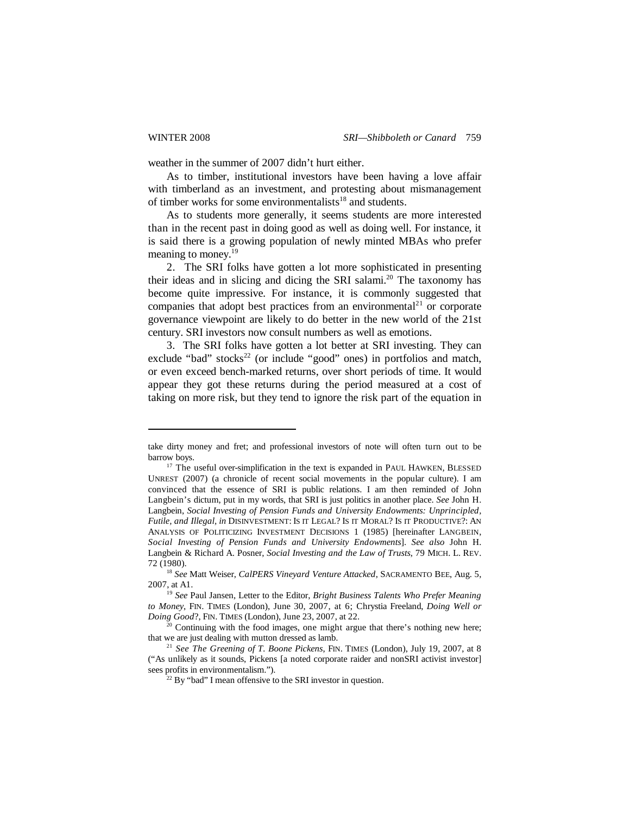weather in the summer of 2007 didn't hurt either.

As to timber, institutional investors have been having a love affair with timberland as an investment, and protesting about mismanagement of timber works for some environmentalists<sup>18</sup> and students.

As to students more generally, it seems students are more interested than in the recent past in doing good as well as doing well. For instance, it is said there is a growing population of newly minted MBAs who prefer meaning to money.<sup>19</sup>

2. The SRI folks have gotten a lot more sophisticated in presenting their ideas and in slicing and dicing the SRI salami.<sup>20</sup> The taxonomy has become quite impressive. For instance, it is commonly suggested that companies that adopt best practices from an environmental $21$  or corporate governance viewpoint are likely to do better in the new world of the 21st century. SRI investors now consult numbers as well as emotions.

3. The SRI folks have gotten a lot better at SRI investing. They can exclude "bad" stocks<sup>22</sup> (or include "good" ones) in portfolios and match, or even exceed bench-marked returns, over short periods of time. It would appear they got these returns during the period measured at a cost of taking on more risk, but they tend to ignore the risk part of the equation in

take dirty money and fret; and professional investors of note will often turn out to be barrow boys.

 $17$  The useful over-simplification in the text is expanded in PAUL HAWKEN, BLESSED UNREST (2007) (a chronicle of recent social movements in the popular culture). I am convinced that the essence of SRI is public relations. I am then reminded of John Langbein's dictum, put in my words, that SRI is just politics in another place. *See* John H. Langbein, *Social Investing of Pension Funds and University Endowments: Unprincipled, Futile, and Illegal, in* DISINVESTMENT: IS IT LEGAL? IS IT MORAL? IS IT PRODUCTIVE?: AN ANALYSIS OF POLITICIZING INVESTMENT DECISIONS 1 (1985) [hereinafter LANGBEIN, *Social Investing of Pension Funds and University Endowments*]. *See also* John H. Langbein & Richard A. Posner, *Social Investing and the Law of Trusts*, 79 MICH. L. REV. 72 (1980).

<sup>18</sup> *See* Matt Weiser, *CalPERS Vineyard Venture Attacked*, SACRAMENTO BEE, Aug. 5, 2007, at A1.

<sup>19</sup> *See* Paul Jansen, Letter to the Editor, *Bright Business Talents Who Prefer Meaning to Money*, FIN. TIMES (London), June 30, 2007, at 6; Chrystia Freeland, *Doing Well or Doing Good*?, FIN. TIMES (London), June 23, 2007, at 22.

 $20^{\circ}$  Continuing with the food images, one might argue that there's nothing new here; that we are just dealing with mutton dressed as lamb.

<sup>21</sup> *See The Greening of T. Boone Pickens*, FIN. TIMES (London), July 19, 2007, at 8 ("As unlikely as it sounds, Pickens [a noted corporate raider and nonSRI activist investor] sees profits in environmentalism.").

 $^{22}$  By "bad" I mean offensive to the SRI investor in question.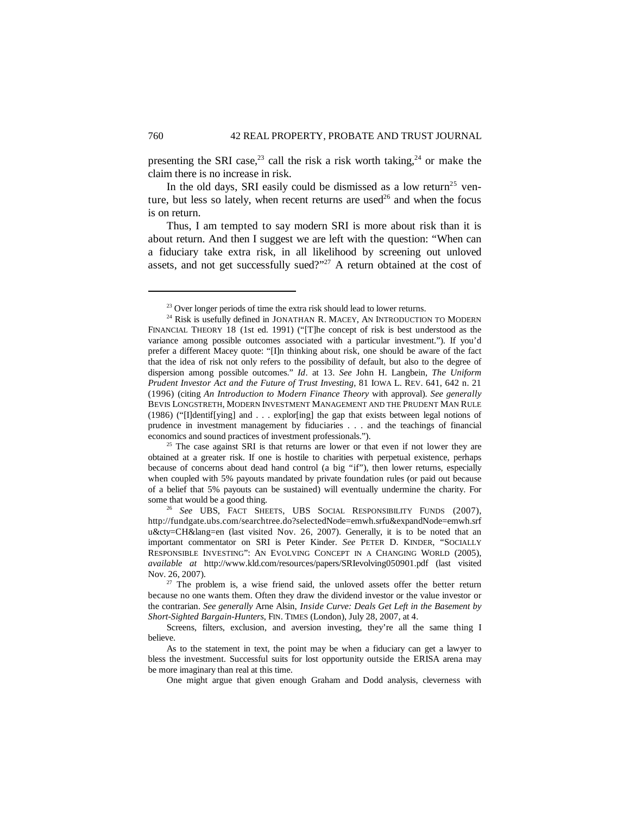presenting the SRI case,<sup>23</sup> call the risk a risk worth taking,<sup>24</sup> or make the claim there is no increase in risk.

In the old days, SRI easily could be dismissed as a low return<sup>25</sup> venture, but less so lately, when recent returns are used<sup>26</sup> and when the focus is on return.

Thus, I am tempted to say modern SRI is more about risk than it is about return. And then I suggest we are left with the question: "When can a fiduciary take extra risk, in all likelihood by screening out unloved assets, and not get successfully sued?"<sup>27</sup> A return obtained at the cost of

 $23$  Over longer periods of time the extra risk should lead to lower returns.

<sup>&</sup>lt;sup>24</sup> Risk is usefully defined in JONATHAN R. MACEY, AN INTRODUCTION TO MODERN FINANCIAL THEORY 18 (1st ed. 1991) ("[T]he concept of risk is best understood as the variance among possible outcomes associated with a particular investment."). If you'd prefer a different Macey quote: "[I]n thinking about risk, one should be aware of the fact that the idea of risk not only refers to the possibility of default, but also to the degree of dispersion among possible outcomes." *Id*. at 13. *See* John H. Langbein, *The Uniform Prudent Investor Act and the Future of Trust Investing*, 81 IOWA L. REV. 641, 642 n. 21 (1996) (citing *An Introduction to Modern Finance Theory* with approval). *See generally* BEVIS LONGSTRETH, MODERN INVESTMENT MANAGEMENT AND THE PRUDENT MAN RULE (1986) ("[I]dentif[ying] and . . . explor[ing] the gap that exists between legal notions of prudence in investment management by fiduciaries . . . and the teachings of financial economics and sound practices of investment professionals.").

<sup>&</sup>lt;sup>25</sup> The case against SRI is that returns are lower or that even if not lower they are obtained at a greater risk. If one is hostile to charities with perpetual existence, perhaps because of concerns about dead hand control (a big "if"), then lower returns, especially when coupled with 5% payouts mandated by private foundation rules (or paid out because of a belief that 5% payouts can be sustained) will eventually undermine the charity. For some that would be a good thing.

<sup>26</sup> *See* UBS, FACT SHEETS, UBS SOCIAL RESPONSIBILITY FUNDS (2007), http://fundgate.ubs.com/searchtree.do?selectedNode=emwh.srfu&expandNode=emwh.srf u&cty=CH&lang=en (last visited Nov. 26, 2007). Generally, it is to be noted that an important commentator on SRI is Peter Kinder. *See* PETER D. KINDER, "SOCIALLY RESPONSIBLE INVESTING": AN EVOLVING CONCEPT IN A CHANGING WORLD (2005), *available at* http://www.kld.com/resources/papers/SRIevolving050901.pdf (last visited Nov. 26, 2007).

 $27$  The problem is, a wise friend said, the unloved assets offer the better return because no one wants them. Often they draw the dividend investor or the value investor or the contrarian. *See generally* Arne Alsin, *Inside Curve: Deals Get Left in the Basement by Short-Sighted Bargain-Hunters*, FIN. TIMES (London), July 28, 2007, at 4.

Screens, filters, exclusion, and aversion investing, they're all the same thing I believe.

As to the statement in text, the point may be when a fiduciary can get a lawyer to bless the investment. Successful suits for lost opportunity outside the ERISA arena may be more imaginary than real at this time.

One might argue that given enough Graham and Dodd analysis, cleverness with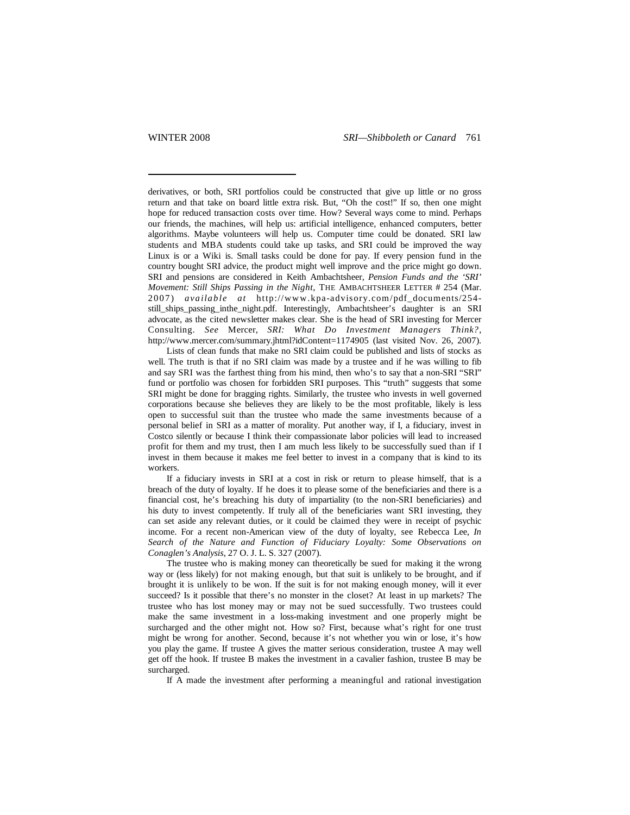derivatives, or both, SRI portfolios could be constructed that give up little or no gross return and that take on board little extra risk. But, "Oh the cost!" If so, then one might hope for reduced transaction costs over time. How? Several ways come to mind. Perhaps our friends, the machines, will help us: artificial intelligence, enhanced computers, better algorithms. Maybe volunteers will help us. Computer time could be donated. SRI law students and MBA students could take up tasks, and SRI could be improved the way Linux is or a Wiki is. Small tasks could be done for pay. If every pension fund in the country bought SRI advice, the product might well improve and the price might go down. SRI and pensions are considered in Keith Ambachtsheer*, Pension Funds and the 'SRI' Movement: Still Ships Passing in the Night*, THE AMBACHTSHEER LETTER # 254 (Mar. 2007) *available at* http://www.kpa-advisory.com/pdf\_documents/254 still\_ships\_passing\_inthe\_night.pdf. Interestingly, Ambachtsheer's daughter is an SRI advocate, as the cited newsletter makes clear. She is the head of SRI investing for Mercer Consulting. *See* Mercer, *SRI: What Do Investment Managers Think?*, http://www.mercer.com/summary.jhtml?idContent=1174905 (last visited Nov. 26, 2007).

Lists of clean funds that make no SRI claim could be published and lists of stocks as well. The truth is that if no SRI claim was made by a trustee and if he was willing to fib and say SRI was the farthest thing from his mind, then who's to say that a non-SRI "SRI" fund or portfolio was chosen for forbidden SRI purposes. This "truth" suggests that some SRI might be done for bragging rights. Similarly, the trustee who invests in well governed corporations because she believes they are likely to be the most profitable, likely is less open to successful suit than the trustee who made the same investments because of a personal belief in SRI as a matter of morality. Put another way, if I, a fiduciary, invest in Costco silently or because I think their compassionate labor policies will lead to increased profit for them and my trust, then I am much less likely to be successfully sued than if I invest in them because it makes me feel better to invest in a company that is kind to its workers.

If a fiduciary invests in SRI at a cost in risk or return to please himself, that is a breach of the duty of loyalty. If he does it to please some of the beneficiaries and there is a financial cost, he's breaching his duty of impartiality (to the non-SRI beneficiaries) and his duty to invest competently. If truly all of the beneficiaries want SRI investing, they can set aside any relevant duties, or it could be claimed they were in receipt of psychic income. For a recent non-American view of the duty of loyalty, see Rebecca Lee, *In Search of the Nature and Function of Fiduciary Loyalty: Some Observations on Conaglen's Analysis*, 27 O. J. L. S. 327 (2007).

The trustee who is making money can theoretically be sued for making it the wrong way or (less likely) for not making enough, but that suit is unlikely to be brought, and if brought it is unlikely to be won. If the suit is for not making enough money, will it ever succeed? Is it possible that there's no monster in the closet? At least in up markets? The trustee who has lost money may or may not be sued successfully. Two trustees could make the same investment in a loss-making investment and one properly might be surcharged and the other might not. How so? First, because what's right for one trust might be wrong for another. Second, because it's not whether you win or lose, it's how you play the game. If trustee A gives the matter serious consideration, trustee A may well get off the hook. If trustee B makes the investment in a cavalier fashion, trustee B may be surcharged.

If A made the investment after performing a meaningful and rational investigation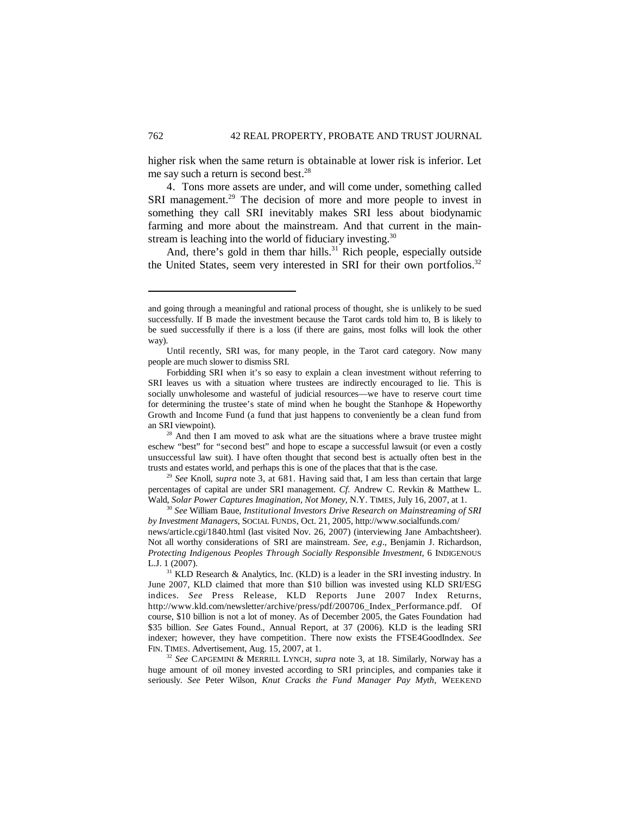higher risk when the same return is obtainable at lower risk is inferior. Let me say such a return is second best.<sup>28</sup>

4. Tons more assets are under, and will come under, something called SRI management.<sup>29</sup> The decision of more and more people to invest in something they call SRI inevitably makes SRI less about biodynamic farming and more about the mainstream. And that current in the mainstream is leaching into the world of fiduciary investing.<sup>30</sup>

And, there's gold in them thar hills. $31$  Rich people, especially outside the United States, seem very interested in SRI for their own portfolios.<sup>32</sup>

<sup>29</sup> *See* Knoll, *supra* note 3, at 681. Having said that, I am less than certain that large percentages of capital are under SRI management. *Cf*. Andrew C. Revkin & Matthew L. Wald, *Solar Power Captures Imagination, Not Money*, N.Y. TIMES, July 16, 2007, at 1.

and going through a meaningful and rational process of thought, she is unlikely to be sued successfully. If B made the investment because the Tarot cards told him to, B is likely to be sued successfully if there is a loss (if there are gains, most folks will look the other way).

Until recently, SRI was, for many people, in the Tarot card category. Now many people are much slower to dismiss SRI.

Forbidding SRI when it's so easy to explain a clean investment without referring to SRI leaves us with a situation where trustees are indirectly encouraged to lie. This is socially unwholesome and wasteful of judicial resources—we have to reserve court time for determining the trustee's state of mind when he bought the Stanhope & Hopeworthy Growth and Income Fund (a fund that just happens to conveniently be a clean fund from an SRI viewpoint).

 $28$  And then I am moved to ask what are the situations where a brave trustee might eschew "best" for "second best" and hope to escape a successful lawsuit (or even a costly unsuccessful law suit). I have often thought that second best is actually often best in the trusts and estates world, and perhaps this is one of the places that that is the case.

<sup>30</sup> *See* William Baue, *Institutional Investors Drive Research on Mainstreaming of SRI by Investment Managers*, SOCIAL FUNDS, Oct. 21, 2005, http://www.socialfunds.com/ news/article.cgi/1840.html (last visited Nov. 26, 2007) (interviewing Jane Ambachtsheer). Not all worthy considerations of SRI are mainstream. *See, e.g*., Benjamin J. Richardson, *Protecting Indigenous Peoples Through Socially Responsible Investment*, 6 INDIGENOUS L.J. 1 (2007).

<sup>&</sup>lt;sup>31</sup> KLD Research & Analytics, Inc. (KLD) is a leader in the SRI investing industry. In June 2007, KLD claimed that more than \$10 billion was invested using KLD SRI/ESG indices. *See* Press Release, KLD Reports June 2007 Index Returns, http://www.kld.com/newsletter/archive/press/pdf/200706\_Index\_Performance.pdf. Of course, \$10 billion is not a lot of money. As of December 2005, the Gates Foundation had \$35 billion. *See* Gates Found., Annual Report, at 37 (2006). KLD is the leading SRI indexer; however, they have competition. There now exists the FTSE4GoodIndex. *See* FIN. TIMES. Advertisement, Aug. 15, 2007, at 1.

<sup>32</sup> *See* CAPGEMINI & MERRILL LYNCH, *supra* note 3, at 18. Similarly, Norway has a huge amount of oil money invested according to SRI principles, and companies take it seriously. *See* Peter Wilson, *Knut Cracks the Fund Manager Pay Myth*, WEEKEND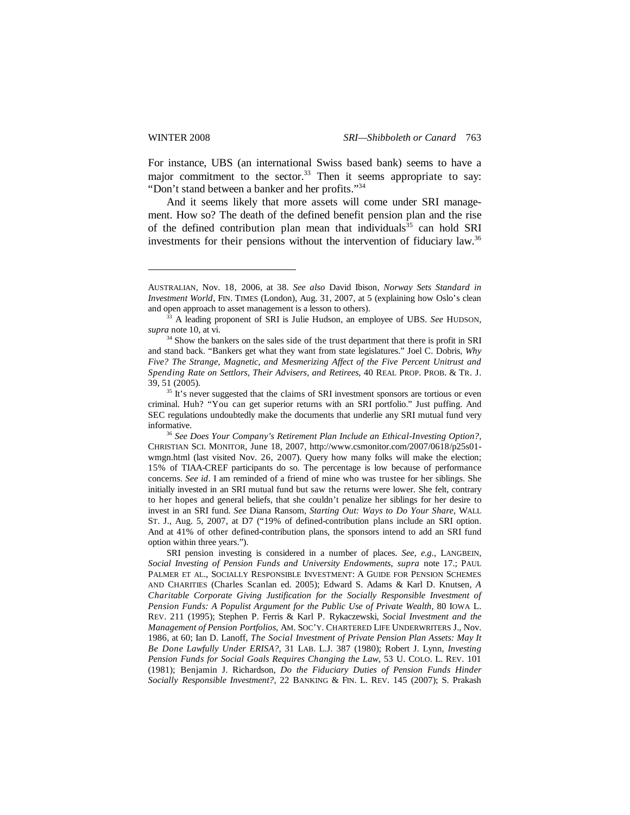For instance, UBS (an international Swiss based bank) seems to have a major commitment to the sector.<sup>33</sup> Then it seems appropriate to say: "Don't stand between a banker and her profits."34

And it seems likely that more assets will come under SRI management. How so? The death of the defined benefit pension plan and the rise of the defined contribution plan mean that individuals $35$  can hold SRI investments for their pensions without the intervention of fiduciary law.<sup>36</sup>

AUSTRALIAN, Nov. 18, 2006, at 38. *See also* David Ibison, *Norway Sets Standard in Investment World*, FIN. TIMES (London), Aug. 31, 2007, at 5 (explaining how Oslo's clean and open approach to asset management is a lesson to others).

<sup>33</sup> A leading proponent of SRI is Julie Hudson, an employee of UBS. *See* HUDSON, *supra* note 10, at vi.

<sup>&</sup>lt;sup>34</sup> Show the bankers on the sales side of the trust department that there is profit in SRI and stand back. "Bankers get what they want from state legislatures." Joel C. Dobris, *Why Five? The Strange, Magnetic, and Mesmerizing Affect of the Five Percent Unitrust and Spending Rate on Settlors, Their Advisers, and Retirees*, 40 REAL PROP. PROB. & TR. J. 39, 51 (2005).  $35 \text{ It}$ 's never suggested that the claims of SRI investment sponsors are tortious or even

criminal. Huh? "You can get superior returns with an SRI portfolio." Just puffing. And SEC regulations undoubtedly make the documents that underlie any SRI mutual fund very informative.

<sup>36</sup> *See Does Your Company's Retirement Plan Include an Ethical-Investing Option?*, CHRISTIAN SCI. MONITOR, June 18, 2007, http://www.csmonitor.com/2007/0618/p25s01 wmgn.html (last visited Nov. 26, 2007). Query how many folks will make the election; 15% of TIAA-CREF participants do so. The percentage is low because of performance concerns. *See id*. I am reminded of a friend of mine who was trustee for her siblings. She initially invested in an SRI mutual fund but saw the returns were lower. She felt, contrary to her hopes and general beliefs, that she couldn't penalize her siblings for her desire to invest in an SRI fund. *See* Diana Ransom, *Starting Out: Ways to Do Your Share*, WALL ST. J., Aug. 5, 2007, at D7 ("19% of defined-contribution plans include an SRI option. And at 41% of other defined-contribution plans, the sponsors intend to add an SRI fund option within three years.").

SRI pension investing is considered in a number of places. *See, e.g.*, LANGBEIN, *Social Investing of Pension Funds and University Endowments*, *supra* note 17.; PAUL PALMER ET AL., SOCIALLY RESPONSIBLE INVESTMENT: A GUIDE FOR PENSION SCHEMES AND CHARITIES (Charles Scanlan ed. 2005); Edward S. Adams & Karl D. Knutsen, *A Charitable Corporate Giving Justification for the Socially Responsible Investment of Pension Funds: A Populist Argument for the Public Use of Private Wealth*, 80 IOWA L. REV. 211 (1995); Stephen P. Ferris & Karl P. Rykaczewski, *Social Investment and the Management of Pension Portfolios*, AM. SOC'Y. CHARTERED LIFE UNDERWRITERS J., Nov. 1986, at 60; Ian D. Lanoff, *The Social Investment of Private Pension Plan Assets: May It Be Done Lawfully Under ERISA?*, 31 LAB. L.J. 387 (1980); Robert J. Lynn, *Investing Pension Funds for Social Goals Requires Changing the Law*, 53 U. COLO. L. REV. 101 (1981); Benjamin J. Richardson, *Do the Fiduciary Duties of Pension Funds Hinder Socially Responsible Investment?*, 22 BANKING & FIN. L. REV. 145 (2007); S. Prakash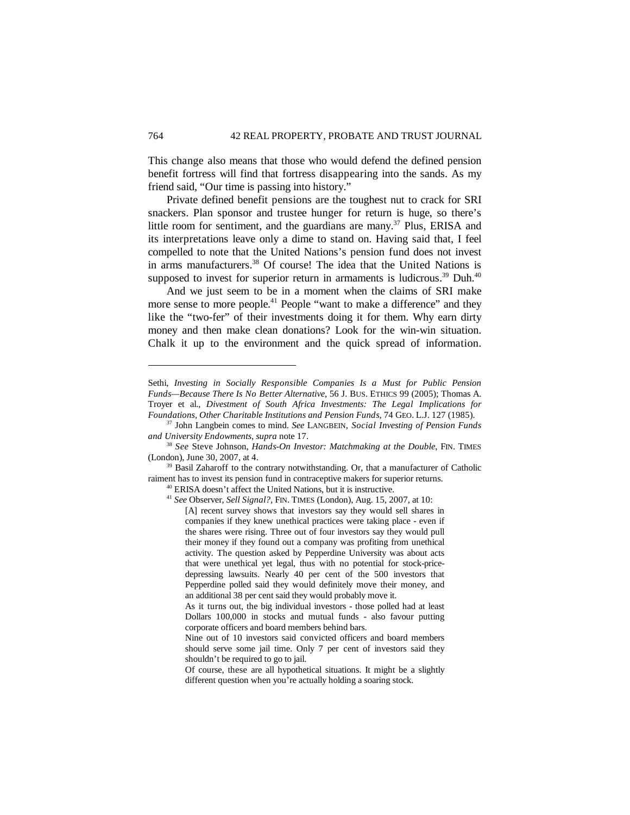This change also means that those who would defend the defined pension benefit fortress will find that fortress disappearing into the sands. As my friend said, "Our time is passing into history."

Private defined benefit pensions are the toughest nut to crack for SRI snackers. Plan sponsor and trustee hunger for return is huge, so there's little room for sentiment, and the guardians are many.<sup>37</sup> Plus, ERISA and its interpretations leave only a dime to stand on. Having said that, I feel compelled to note that the United Nations's pension fund does not invest in arms manufacturers.<sup>38</sup> Of course! The idea that the United Nations is supposed to invest for superior return in armaments is ludicrous.<sup>39</sup> Duh.<sup>40</sup>

And we just seem to be in a moment when the claims of SRI make more sense to more people.<sup>41</sup> People "want to make a difference" and they like the "two-fer" of their investments doing it for them. Why earn dirty money and then make clean donations? Look for the win-win situation. Chalk it up to the environment and the quick spread of information.

Sethi, *Investing in Socially Responsible Companies Is a Must for Public Pension Funds—Because There Is No Better Alternative*, 56 J. BUS. ETHICS 99 (2005); Thomas A. Troyer et al., *Divestment of South Africa Investments: The Legal Implications for Foundations, Other Charitable Institutions and Pension Funds*, 74 GEO. L.J. 127 (1985).

<sup>37</sup> John Langbein comes to mind. *See* LANGBEIN, *Social Investing of Pension Funds and University Endowments*, *supra* note 17.

<sup>38</sup> *See* Steve Johnson, *Hands-On Investor: Matchmaking at the Double*, FIN. TIMES (London), June 30, 2007, at 4.

 $39$  Basil Zaharoff to the contrary notwithstanding. Or, that a manufacturer of Catholic raiment has to invest its pension fund in contraceptive makers for superior returns.

 $^{40}$  ERISA doesn't affect the United Nations, but it is instructive.

<sup>41</sup> *See* Observer, *Sell Signal?,* FIN. TIMES (London), Aug. 15, 2007, at 10: [A] recent survey shows that investors say they would sell shares in companies if they knew unethical practices were taking place - even if the shares were rising. Three out of four investors say they would pull their money if they found out a company was profiting from unethical activity. The question asked by Pepperdine University was about acts that were unethical yet legal, thus with no potential for stock-pricedepressing lawsuits. Nearly 40 per cent of the 500 investors that Pepperdine polled said they would definitely move their money, and an additional 38 per cent said they would probably move it.

As it turns out, the big individual investors - those polled had at least Dollars 100,000 in stocks and mutual funds - also favour putting corporate officers and board members behind bars.

Nine out of 10 investors said convicted officers and board members should serve some jail time. Only 7 per cent of investors said they shouldn't be required to go to jail.

Of course, these are all hypothetical situations. It might be a slightly different question when you're actually holding a soaring stock.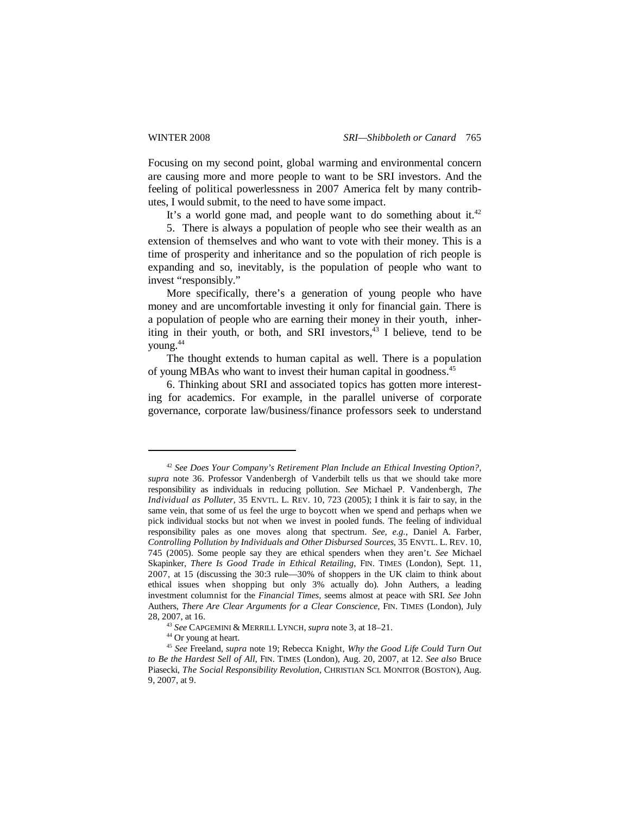Focusing on my second point, global warming and environmental concern are causing more and more people to want to be SRI investors. And the feeling of political powerlessness in 2007 America felt by many contributes, I would submit, to the need to have some impact.

It's a world gone mad, and people want to do something about it.<sup>42</sup>

5. There is always a population of people who see their wealth as an extension of themselves and who want to vote with their money. This is a time of prosperity and inheritance and so the population of rich people is expanding and so, inevitably, is the population of people who want to invest "responsibly."

More specifically, there's a generation of young people who have money and are uncomfortable investing it only for financial gain. There is a population of people who are earning their money in their youth, inheriting in their youth, or both, and SRI investors, $43$  I believe, tend to be young.44

The thought extends to human capital as well. There is a population of young MBAs who want to invest their human capital in goodness.45

6. Thinking about SRI and associated topics has gotten more interesting for academics. For example, in the parallel universe of corporate governance, corporate law/business/finance professors seek to understand

<sup>42</sup> *See Does Your Company's Retirement Plan Include an Ethical Investing Option?*, *supra* note 36. Professor Vandenbergh of Vanderbilt tells us that we should take more responsibility as individuals in reducing pollution. *See* Michael P. Vandenbergh, *The Individual as Polluter,* 35 ENVTL. L. REV. 10, 723 (2005); I think it is fair to say, in the same vein, that some of us feel the urge to boycott when we spend and perhaps when we pick individual stocks but not when we invest in pooled funds. The feeling of individual responsibility pales as one moves along that spectrum. *See, e.g.*, Daniel A. Farber, *Controlling Pollution by Individuals and Other Disbursed Sources*, 35 ENVTL. L. REV. 10, 745 (2005). Some people say they are ethical spenders when they aren't. *See* Michael Skapinker, *There Is Good Trade in Ethical Retailing*, FIN. TIMES (London), Sept. 11, 2007, at 15 (discussing the 30:3 rule—30% of shoppers in the UK claim to think about ethical issues when shopping but only 3% actually do). John Authers, a leading investment columnist for the *Financial Times,* seems almost at peace with SRI. *See* John Authers, *There Are Clear Arguments for a Clear Conscience,* FIN. TIMES (London), July 28, 2007, at 16.

<sup>43</sup> *See* CAPGEMINI & MERRILL LYNCH, *supra* note 3, at 18–21.

<sup>&</sup>lt;sup>44</sup> Or young at heart.

<sup>45</sup> *See* Freeland, *supra* note 19; Rebecca Knight, *Why the Good Life Could Turn Out to Be the Hardest Sell of All*, FIN. TIMES (London), Aug. 20, 2007, at 12. *See also* Bruce Piasecki, *The Social Responsibility Revolution*, CHRISTIAN SCI. MONITOR (BOSTON), Aug. 9, 2007, at 9.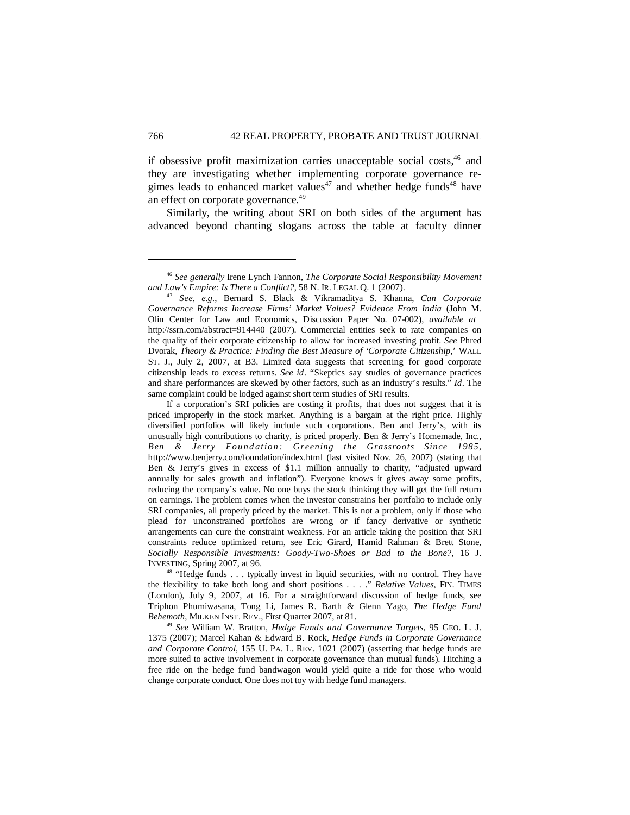if obsessive profit maximization carries unacceptable social costs, $46$  and they are investigating whether implementing corporate governance regimes leads to enhanced market values<sup>47</sup> and whether hedge funds<sup>48</sup> have an effect on corporate governance.<sup>49</sup>

Similarly, the writing about SRI on both sides of the argument has advanced beyond chanting slogans across the table at faculty dinner

<sup>48</sup> "Hedge funds . . . typically invest in liquid securities, with no control. They have the flexibility to take both long and short positions . . . ." *Relative Values*, FIN. TIMES (London), July 9, 2007, at 16. For a straightforward discussion of hedge funds, see Triphon Phumiwasana, Tong Li, James R. Barth & Glenn Yago, *The Hedge Fund Behemoth*, MILKEN INST. REV., First Quarter 2007, at 81.

<sup>49</sup> *See* William W. Bratton, *Hedge Funds and Governance Targets*, 95 GEO. L. J. 1375 (2007); Marcel Kahan & Edward B. Rock, *Hedge Funds in Corporate Governance and Corporate Control*, 155 U. PA. L. REV. 1021 (2007) (asserting that hedge funds are more suited to active involvement in corporate governance than mutual funds). Hitching a free ride on the hedge fund bandwagon would yield quite a ride for those who would change corporate conduct. One does not toy with hedge fund managers.

<sup>46</sup> *See generally* Irene Lynch Fannon, *The Corporate Social Responsibility Movement and Law's Empire: Is There a Conflict?*, 58 N. IR. LEGAL Q. 1 (2007).

<sup>47</sup> *See, e.g.*, Bernard S. Black & Vikramaditya S. Khanna, *Can Corporate Governance Reforms Increase Firms' Market Values? Evidence From India* (John M. Olin Center for Law and Economics, Discussion Paper No. 07-002), *available at*  http://ssrn.com/abstract=914440 (2007). Commercial entities seek to rate companies on the quality of their corporate citizenship to allow for increased investing profit. *See* Phred Dvorak, *Theory & Practice: Finding the Best Measure of 'Corporate Citizenship*,' WALL ST. J., July 2, 2007, at B3. Limited data suggests that screening for good corporate citizenship leads to excess returns. *See id*. "Skeptics say studies of governance practices and share performances are skewed by other factors, such as an industry's results." *Id*. The same complaint could be lodged against short term studies of SRI results.

If a corporation's SRI policies are costing it profits, that does not suggest that it is priced improperly in the stock market. Anything is a bargain at the right price. Highly diversified portfolios will likely include such corporations. Ben and Jerry's, with its unusually high contributions to charity, is priced properly. Ben & Jerry's Homemade, Inc., *Ben & Jerry Foundation: Greening the Grassroots Since 1985*, http://www.benjerry.com/foundation/index.html (last visited Nov. 26, 2007) (stating that Ben & Jerry's gives in excess of \$1.1 million annually to charity, "adjusted upward annually for sales growth and inflation"). Everyone knows it gives away some profits, reducing the company's value. No one buys the stock thinking they will get the full return on earnings. The problem comes when the investor constrains her portfolio to include only SRI companies, all properly priced by the market. This is not a problem, only if those who plead for unconstrained portfolios are wrong or if fancy derivative or synthetic arrangements can cure the constraint weakness. For an article taking the position that SRI constraints reduce optimized return, see Eric Girard, Hamid Rahman & Brett Stone, *Socially Responsible Investments: Goody-Two-Shoes or Bad to the Bone?*, 16 J. INVESTING, Spring 2007, at 96.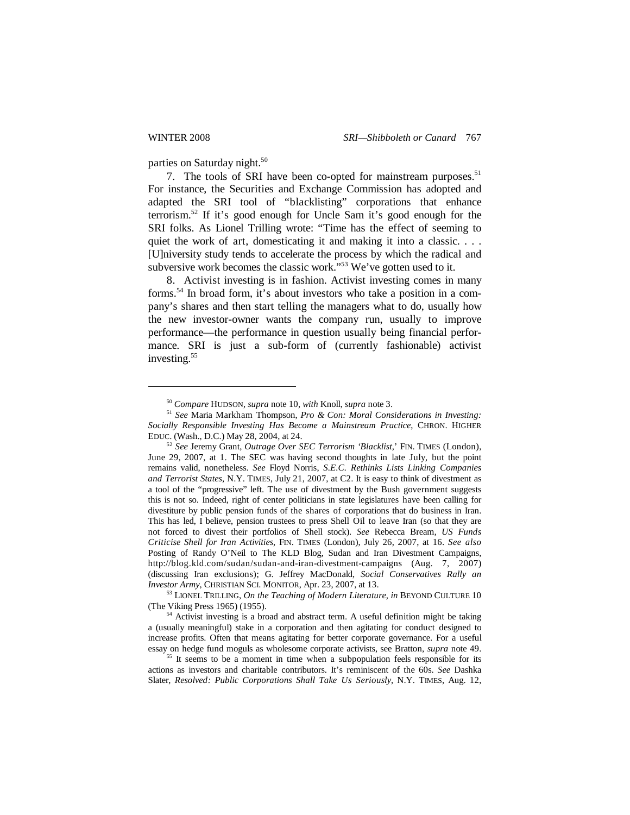parties on Saturday night.<sup>50</sup>

7. The tools of SRI have been co-opted for mainstream purposes.<sup>51</sup> For instance, the Securities and Exchange Commission has adopted and adapted the SRI tool of "blacklisting" corporations that enhance terrorism.52 If it's good enough for Uncle Sam it's good enough for the SRI folks. As Lionel Trilling wrote: "Time has the effect of seeming to quiet the work of art, domesticating it and making it into a classic. . . . [U]niversity study tends to accelerate the process by which the radical and subversive work becomes the classic work."53 We've gotten used to it.

8. Activist investing is in fashion. Activist investing comes in many forms.54 In broad form, it's about investors who take a position in a company's shares and then start telling the managers what to do, usually how the new investor-owner wants the company run, usually to improve performance—the performance in question usually being financial performance. SRI is just a sub-form of (currently fashionable) activist investing.55

53 LIONEL TRILLING, *On the Teaching of Modern Literature, in* BEYOND CULTURE 10 (The Viking Press 1965) (1955).

<sup>50</sup> *Compare* HUDSON, *supra* note 10, *with* Knoll, *supra* note 3.

<sup>51</sup> *See* Maria Markham Thompson, *Pro & Con: Moral Considerations in Investing: Socially Responsible Investing Has Become a Mainstream Practice*, CHRON. HIGHER EDUC. (Wash., D.C.) May 28, 2004, at 24.

<sup>52</sup> *See* Jeremy Grant, *Outrage Over SEC Terrorism 'Blacklist,*' FIN. TIMES (London), June 29, 2007, at 1. The SEC was having second thoughts in late July, but the point remains valid, nonetheless. *See* Floyd Norris, *S.E.C. Rethinks Lists Linking Companies and Terrorist States*, N.Y. TIMES, July 21, 2007, at C2. It is easy to think of divestment as a tool of the "progressive" left. The use of divestment by the Bush government suggests this is not so. Indeed, right of center politicians in state legislatures have been calling for divestiture by public pension funds of the shares of corporations that do business in Iran. This has led, I believe, pension trustees to press Shell Oil to leave Iran (so that they are not forced to divest their portfolios of Shell stock). *See* Rebecca Bream*, US Funds Criticise Shell for Iran Activities*, FIN. TIMES (London), July 26, 2007, at 16. *See also* Posting of Randy O'Neil to The KLD Blog, Sudan and Iran Divestment Campaigns, http://blog.kld.com/sudan/sudan-and-iran-divestment-campaigns (Aug. 7, 2007) (discussing Iran exclusions); G. Jeffrey MacDonald, *Social Conservatives Rally an Investor Army*, CHRISTIAN SCI. MONITOR, Apr. 23, 2007, at 13.

<sup>&</sup>lt;sup>54</sup> Activist investing is a broad and abstract term. A useful definition might be taking a (usually meaningful) stake in a corporation and then agitating for conduct designed to increase profits. Often that means agitating for better corporate governance. For a useful essay on hedge fund moguls as wholesome corporate activists, see Bratton, *supra* note 49.

<sup>&</sup>lt;sup>55</sup> It seems to be a moment in time when a subpopulation feels responsible for its actions as investors and charitable contributors. It's reminiscent of the 60s. *See* Dashka Slater, *Resolved: Public Corporations Shall Take Us Seriously*, N.Y. TIMES, Aug. 12,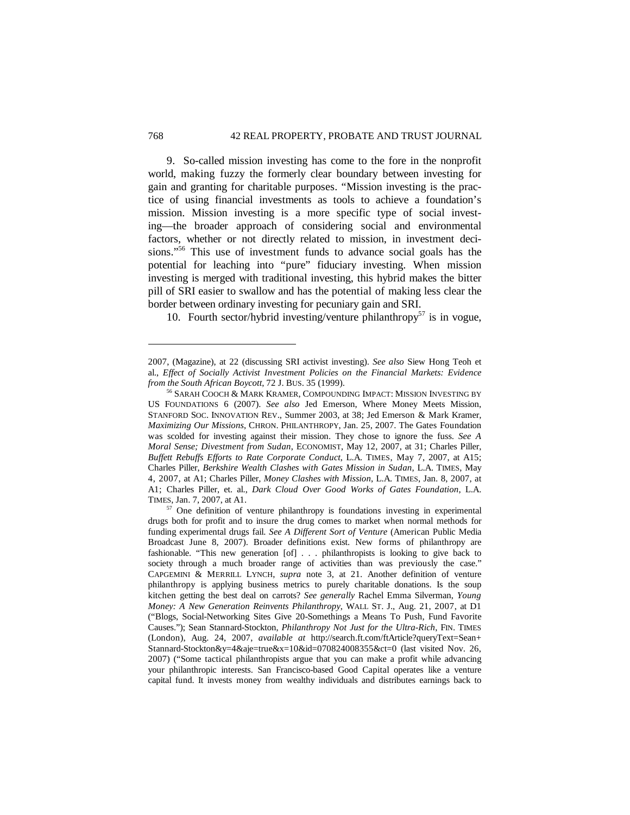9. So-called mission investing has come to the fore in the nonprofit world, making fuzzy the formerly clear boundary between investing for gain and granting for charitable purposes. "Mission investing is the practice of using financial investments as tools to achieve a foundation's mission. Mission investing is a more specific type of social investing—the broader approach of considering social and environmental factors, whether or not directly related to mission, in investment decisions."56 This use of investment funds to advance social goals has the potential for leaching into "pure" fiduciary investing. When mission investing is merged with traditional investing, this hybrid makes the bitter pill of SRI easier to swallow and has the potential of making less clear the border between ordinary investing for pecuniary gain and SRI.

10. Fourth sector/hybrid investing/venture philanthropy<sup>57</sup> is in vogue,

<sup>2007, (</sup>Magazine), at 22 (discussing SRI activist investing). *See also* Siew Hong Teoh et al., *Effect of Socially Activist Investment Policies on the Financial Markets: Evidence from the South African Boycott*, 72 J. BUS. 35 (1999).

<sup>56</sup> SARAH COOCH & MARK KRAMER, COMPOUNDING IMPACT: MISSION INVESTING BY US FOUNDATIONS 6 (2007). *See also* Jed Emerson, Where Money Meets Mission, STANFORD SOC. INNOVATION REV., Summer 2003, at 38; Jed Emerson & Mark Kramer, *Maximizing Our Missions*, CHRON. PHILANTHROPY, Jan. 25, 2007. The Gates Foundation was scolded for investing against their mission. They chose to ignore the fuss. *See A Moral Sense; Divestment from Sudan*, ECONOMIST, May 12, 2007, at 31; Charles Piller, *Buffett Rebuffs Efforts to Rate Corporate Conduct*, L.A. TIMES, May 7, 2007, at A15; Charles Piller, *Berkshire Wealth Clashes with Gates Mission in Sudan*, L.A. TIMES, May 4, 2007, at A1; Charles Piller, *Money Clashes with Mission*, L.A. TIMES, Jan. 8, 2007, at A1; Charles Piller, et. al., *Dark Cloud Over Good Works of Gates Foundation*, L.A. TIMES, Jan. 7, 2007, at A1.

<sup>&</sup>lt;sup>57</sup> One definition of venture philanthropy is foundations investing in experimental drugs both for profit and to insure the drug comes to market when normal methods for funding experimental drugs fail. *See A Different Sort of Venture* (American Public Media Broadcast June 8, 2007). Broader definitions exist. New forms of philanthropy are fashionable. "This new generation [of] . . . philanthropists is looking to give back to society through a much broader range of activities than was previously the case." CAPGEMINI & MERRILL LYNCH, *supra* note 3, at 21. Another definition of venture philanthropy is applying business metrics to purely charitable donations. Is the soup kitchen getting the best deal on carrots? *See generally* Rachel Emma Silverman, *Young Money: A New Generation Reinvents Philanthropy*, WALL ST. J., Aug. 21, 2007, at D1 ("Blogs, Social-Networking Sites Give 20-Somethings a Means To Push, Fund Favorite Causes."); Sean Stannard-Stockton, *Philanthropy Not Just for the Ultra-Rich*, FIN. TIMES (London), Aug. 24, 2007, *available at* http://search.ft.com/ftArticle?queryText=Sean+ Stannard-Stockton&y=4&aje=true&x=10&id=070824008355&ct=0 (last visited Nov. 26, 2007) ("Some tactical philanthropists argue that you can make a profit while advancing your philanthropic interests. San Francisco-based Good Capital operates like a venture capital fund. It invests money from wealthy individuals and distributes earnings back to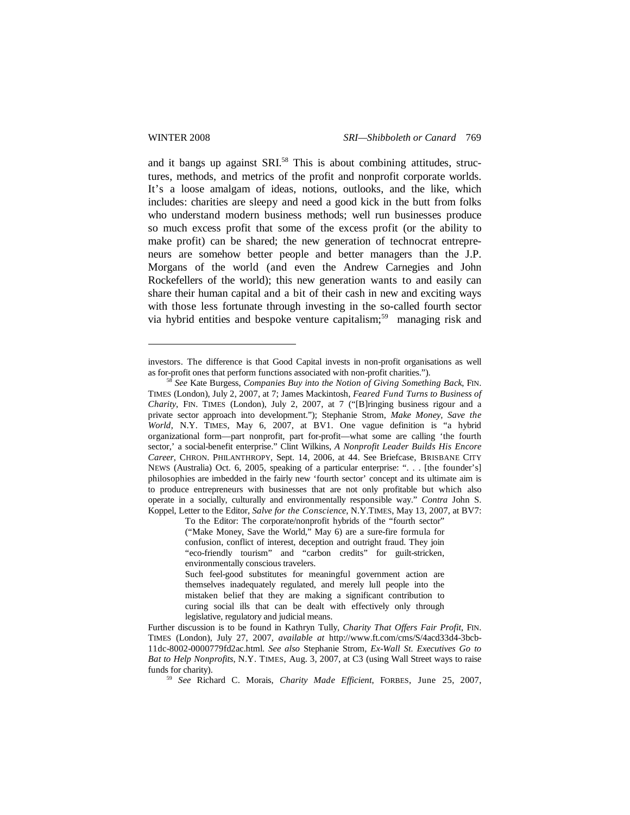and it bangs up against SRI.<sup>58</sup> This is about combining attitudes, structures, methods, and metrics of the profit and nonprofit corporate worlds. It's a loose amalgam of ideas, notions, outlooks, and the like, which includes: charities are sleepy and need a good kick in the butt from folks who understand modern business methods; well run businesses produce so much excess profit that some of the excess profit (or the ability to make profit) can be shared; the new generation of technocrat entrepreneurs are somehow better people and better managers than the J.P. Morgans of the world (and even the Andrew Carnegies and John Rockefellers of the world); this new generation wants to and easily can share their human capital and a bit of their cash in new and exciting ways with those less fortunate through investing in the so-called fourth sector via hybrid entities and bespoke venture capitalism;59 managing risk and

investors. The difference is that Good Capital invests in non-profit organisations as well as for-profit ones that perform functions associated with non-profit charities.").

<sup>58</sup> *See* Kate Burgess, *Companies Buy into the Notion of Giving Something Back*, FIN. TIMES (London), July 2, 2007, at 7; James Mackintosh, *Feared Fund Turns to Business of Charity*, FIN. TIMES (London), July 2, 2007, at 7 ("[B]ringing business rigour and a private sector approach into development."); Stephanie Strom, *Make Money, Save the World*, N.Y. TIMES, May 6, 2007, at BV1. One vague definition is "a hybrid organizational form—part nonprofit, part for-profit—what some are calling 'the fourth sector,' a social-benefit enterprise." Clint Wilkins, *A Nonprofit Leader Builds His Encore Career*, CHRON. PHILANTHROPY, Sept. 14, 2006, at 44. See Briefcase, BRISBANE CITY NEWS (Australia) Oct. 6, 2005, speaking of a particular enterprise: ". . . [the founder's] philosophies are imbedded in the fairly new 'fourth sector' concept and its ultimate aim is to produce entrepreneurs with businesses that are not only profitable but which also operate in a socially, culturally and environmentally responsible way." *Contra* John S. Koppel, Letter to the Editor, *Salve for the Conscience*, N.Y.TIMES, May 13, 2007, at BV7:

To the Editor: The corporate/nonprofit hybrids of the "fourth sector" ("Make Money, Save the World," May 6) are a sure-fire formula for confusion, conflict of interest, deception and outright fraud. They join "eco-friendly tourism" and "carbon credits" for guilt-stricken, environmentally conscious travelers.

Such feel-good substitutes for meaningful government action are themselves inadequately regulated, and merely lull people into the mistaken belief that they are making a significant contribution to curing social ills that can be dealt with effectively only through legislative, regulatory and judicial means.

Further discussion is to be found in Kathryn Tully, *Charity That Offers Fair Profit*, FIN. TIMES (London), July 27, 2007, *available at* http://www.ft.com/cms/S/4acd33d4-3bcb-11dc-8002-0000779fd2ac.html. *See also* Stephanie Strom, *Ex-Wall St. Executives Go to Bat to Help Nonprofits*, N.Y. TIMES, Aug. 3, 2007, at C3 (using Wall Street ways to raise funds for charity). 59 *See* Richard C. Morais, *Charity Made Efficient*, FORBES, June 25, 2007,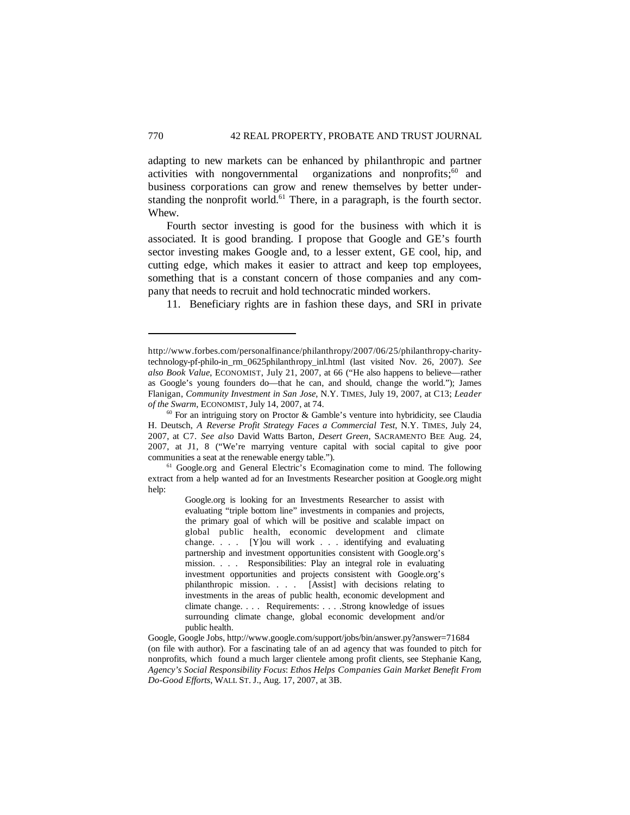adapting to new markets can be enhanced by philanthropic and partner activities with nongovernmental organizations and nonprofits; $\frac{60}{60}$  and business corporations can grow and renew themselves by better understanding the nonprofit world.<sup>61</sup> There, in a paragraph, is the fourth sector. Whew.

Fourth sector investing is good for the business with which it is associated. It is good branding. I propose that Google and GE's fourth sector investing makes Google and, to a lesser extent, GE cool, hip, and cutting edge, which makes it easier to attract and keep top employees, something that is a constant concern of those companies and any company that needs to recruit and hold technocratic minded workers.

11. Beneficiary rights are in fashion these days, and SRI in private

Google.org is looking for an Investments Researcher to assist with evaluating "triple bottom line" investments in companies and projects, the primary goal of which will be positive and scalable impact on global public health, economic development and climate change. . . . [Y]ou will work . . . identifying and evaluating partnership and investment opportunities consistent with Google.org's mission. . . . Responsibilities: Play an integral role in evaluating investment opportunities and projects consistent with Google.org's philanthropic mission. . . . [Assist] with decisions relating to investments in the areas of public health, economic development and climate change. . . . Requirements: . . . .Strong knowledge of issues surrounding climate change, global economic development and/or public health.

http://www.forbes.com/personalfinance/philanthropy/2007/06/25/philanthropy-charitytechnology-pf-philo-in\_rm\_0625philanthropy\_inl.html (last visited Nov. 26, 2007). *See also Book Value*, ECONOMIST, July 21, 2007, at 66 ("He also happens to believe—rather as Google's young founders do—that he can, and should, change the world."); James Flanigan, *Community Investment in San Jose*, N.Y. TIMES, July 19, 2007, at C13; *Leader of the Swarm*, ECONOMIST, July 14, 2007, at 74.

 $60$  For an intriguing story on Proctor & Gamble's venture into hybridicity, see Claudia H. Deutsch, *A Reverse Profit Strategy Faces a Commercial Test*, N.Y. TIMES, July 24, 2007, at C7. *See also* David Watts Barton, *Desert Green*, SACRAMENTO BEE Aug. 24, 2007, at J1, 8 ("We're marrying venture capital with social capital to give poor communities a seat at the renewable energy table.").

<sup>&</sup>lt;sup>61</sup> Google.org and General Electric's Ecomagination come to mind. The following extract from a help wanted ad for an Investments Researcher position at Google.org might help:

Google, Google Jobs, http://www.google.com/support/jobs/bin/answer.py?answer=71684 (on file with author). For a fascinating tale of an ad agency that was founded to pitch for nonprofits, which found a much larger clientele among profit clients, see Stephanie Kang, *Agency's Social Responsibility Focus*: *Ethos Helps Companies Gain Market Benefit From Do-Good Efforts*, WALL ST. J., Aug. 17, 2007, at 3B.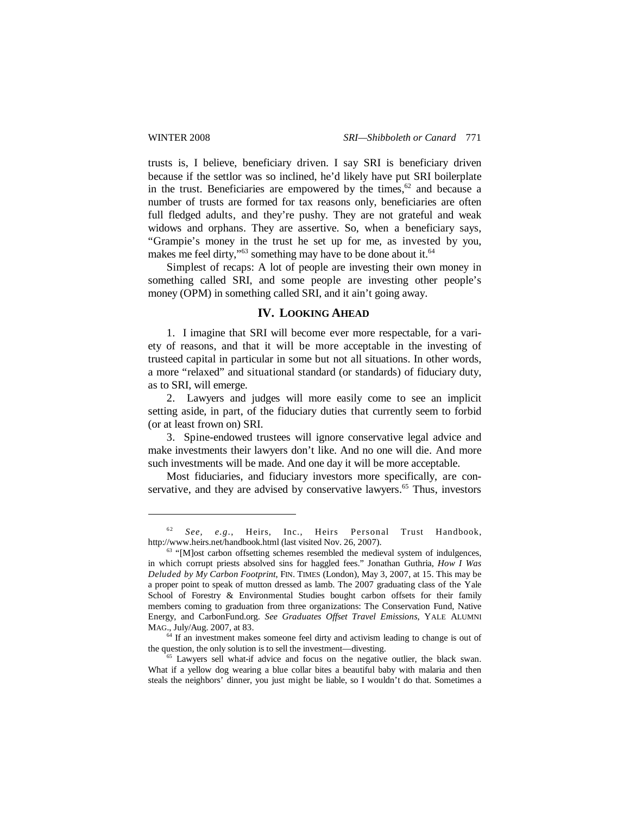trusts is, I believe, beneficiary driven. I say SRI is beneficiary driven because if the settlor was so inclined, he'd likely have put SRI boilerplate in the trust. Beneficiaries are empowered by the times,<sup>62</sup> and because a number of trusts are formed for tax reasons only, beneficiaries are often full fledged adults, and they're pushy. They are not grateful and weak widows and orphans. They are assertive. So, when a beneficiary says, "Grampie's money in the trust he set up for me, as invested by you, makes me feel dirty,"<sup>63</sup> something may have to be done about it.<sup>64</sup>

Simplest of recaps: A lot of people are investing their own money in something called SRI, and some people are investing other people's money (OPM) in something called SRI, and it ain't going away.

### **IV. LOOKING AHEAD**

1. I imagine that SRI will become ever more respectable, for a variety of reasons, and that it will be more acceptable in the investing of trusteed capital in particular in some but not all situations. In other words, a more "relaxed" and situational standard (or standards) of fiduciary duty, as to SRI, will emerge.

2. Lawyers and judges will more easily come to see an implicit setting aside, in part, of the fiduciary duties that currently seem to forbid (or at least frown on) SRI.

3. Spine-endowed trustees will ignore conservative legal advice and make investments their lawyers don't like. And no one will die. And more such investments will be made. And one day it will be more acceptable.

Most fiduciaries, and fiduciary investors more specifically, are conservative, and they are advised by conservative lawyers.<sup>65</sup> Thus, investors

<sup>&</sup>lt;sup>62</sup> *See, e.g.*, Heirs, Inc., Heirs Personal Trust Handbook, http://www.heirs.net/handbook.html (last visited Nov. 26, 2007).

<sup>&</sup>lt;sup>63</sup> "[M]ost carbon offsetting schemes resembled the medieval system of indulgences, in which corrupt priests absolved sins for haggled fees." Jonathan Guthria, *How I Was Deluded by My Carbon Footprint*, FIN. TIMES (London), May 3, 2007, at 15. This may be a proper point to speak of mutton dressed as lamb. The 2007 graduating class of the Yale School of Forestry & Environmental Studies bought carbon offsets for their family members coming to graduation from three organizations: The Conservation Fund, Native Energy, and CarbonFund.org. *See Graduates Offset Travel Emissions*, YALE ALUMNI MAG., July/Aug. 2007, at 83.

<sup>&</sup>lt;sup>64</sup> If an investment makes someone feel dirty and activism leading to change is out of the question, the only solution is to sell the investment—divesting.

<sup>&</sup>lt;sup>65</sup> Lawyers sell what-if advice and focus on the negative outlier, the black swan. What if a yellow dog wearing a blue collar bites a beautiful baby with malaria and then steals the neighbors' dinner, you just might be liable, so I wouldn't do that. Sometimes a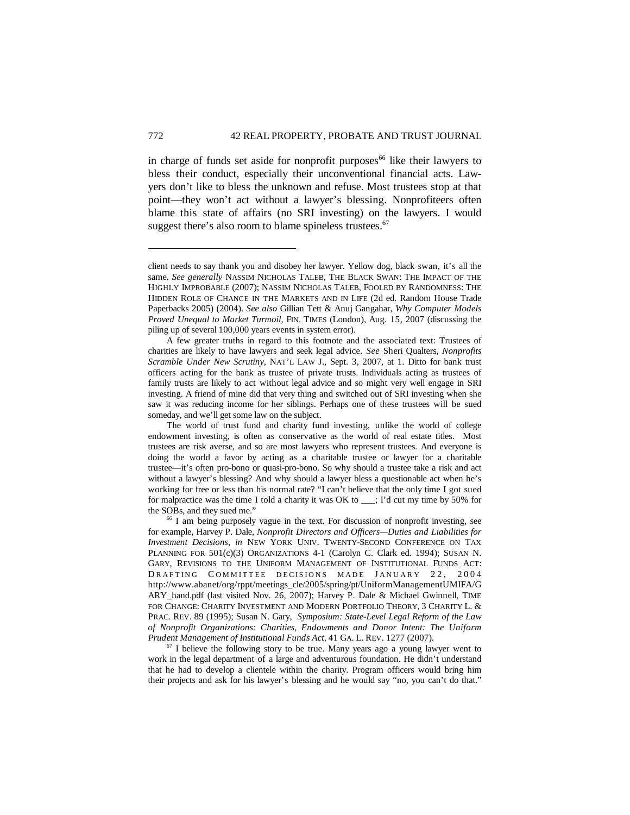in charge of funds set aside for nonprofit purposes<sup>66</sup> like their lawyers to bless their conduct, especially their unconventional financial acts. Lawyers don't like to bless the unknown and refuse. Most trustees stop at that point—they won't act without a lawyer's blessing. Nonprofiteers often blame this state of affairs (no SRI investing) on the lawyers. I would suggest there's also room to blame spineless trustees. $67$ 

A few greater truths in regard to this footnote and the associated text: Trustees of charities are likely to have lawyers and seek legal advice. *See* Sheri Qualters, *Nonprofits Scramble Under New Scrutiny*, NAT'L LAW J., Sept. 3, 2007, at 1. Ditto for bank trust officers acting for the bank as trustee of private trusts. Individuals acting as trustees of family trusts are likely to act without legal advice and so might very well engage in SRI investing. A friend of mine did that very thing and switched out of SRI investing when she saw it was reducing income for her siblings. Perhaps one of these trustees will be sued someday, and we'll get some law on the subject.

 $67$  I believe the following story to be true. Many years ago a young lawyer went to work in the legal department of a large and adventurous foundation. He didn't understand that he had to develop a clientele within the charity. Program officers would bring him their projects and ask for his lawyer's blessing and he would say "no, you can't do that."

client needs to say thank you and disobey her lawyer. Yellow dog, black swan, it's all the same. *See generally* NASSIM NICHOLAS TALEB, THE BLACK SWAN: THE IMPACT OF THE HIGHLY IMPROBABLE (2007); NASSIM NICHOLAS TALEB, FOOLED BY RANDOMNESS: THE HIDDEN ROLE OF CHANCE IN THE MARKETS AND IN LIFE (2d ed. Random House Trade Paperbacks 2005) (2004). *See also* Gillian Tett & Anuj Gangahar, *Why Computer Models Proved Unequal to Market Turmoil,* FIN. TIMES (London), Aug. 15, 2007 (discussing the piling up of several 100,000 years events in system error).

The world of trust fund and charity fund investing, unlike the world of college endowment investing, is often as conservative as the world of real estate titles. Most trustees are risk averse, and so are most lawyers who represent trustees. And everyone is doing the world a favor by acting as a charitable trustee or lawyer for a charitable trustee—it's often pro-bono or quasi-pro-bono. So why should a trustee take a risk and act without a lawyer's blessing? And why should a lawyer bless a questionable act when he's working for free or less than his normal rate? "I can't believe that the only time I got sued for malpractice was the time I told a charity it was OK to \_\_\_; I'd cut my time by 50% for the SOBs, and they sued me."

<sup>&</sup>lt;sup>66</sup> I am being purposely vague in the text. For discussion of nonprofit investing, see for example, Harvey P. Dale, *Nonprofit Directors and Officers—Duties and Liabilities for Investment Decisions*, *in* NEW YORK UNIV. TWENTY-SECOND CONFERENCE ON TAX PLANNING FOR 501(c)(3) ORGANIZATIONS 4-1 (Carolyn C. Clark ed. 1994); SUSAN N. GARY, REVISIONS TO THE UNIFORM MANAGEMENT OF INSTITUTIONAL FUNDS ACT: DRAFTING COMMITTEE DECISIONS MADE JANUARY 22, 2004 http://www.abanet/org/rppt/meetings\_cle/2005/spring/pt/UniformManagementUMIFA/G ARY\_hand.pdf (last visited Nov. 26, 2007); Harvey P. Dale & Michael Gwinnell, TIME FOR CHANGE: CHARITY INVESTMENT AND MODERN PORTFOLIO THEORY, 3 CHARITY L. & PRAC. REV. 89 (1995); Susan N. Gary, *Symposium: State-Level Legal Reform of the Law of Nonprofit Organizations: Charities, Endowments and Donor Intent: The Uniform Prudent Management of Institutional Funds Act*, 41 GA. L. REV. 1277 (2007).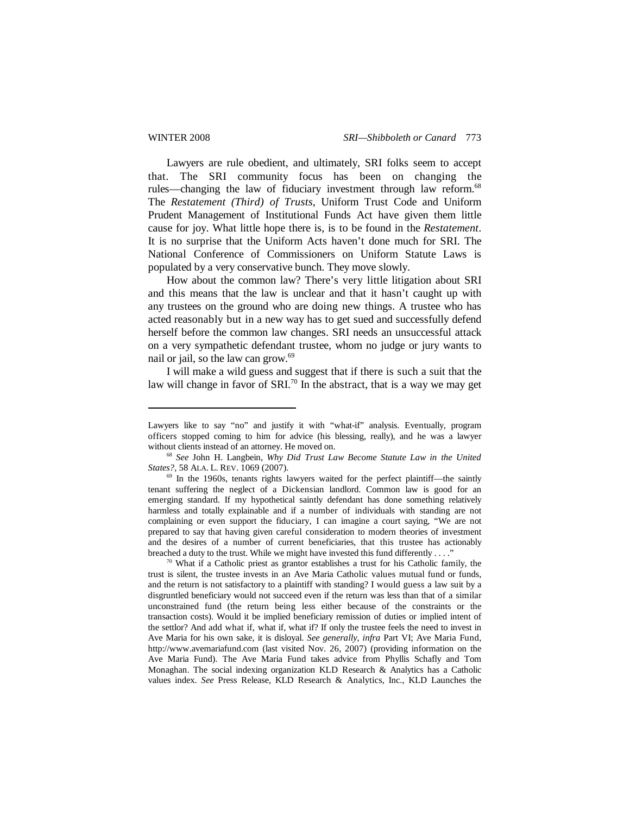Lawyers are rule obedient, and ultimately, SRI folks seem to accept that. The SRI community focus has been on changing the rules—changing the law of fiduciary investment through law reform.<sup>68</sup> The *Restatement (Third) of Trusts*, Uniform Trust Code and Uniform Prudent Management of Institutional Funds Act have given them little cause for joy. What little hope there is, is to be found in the *Restatement*. It is no surprise that the Uniform Acts haven't done much for SRI. The National Conference of Commissioners on Uniform Statute Laws is populated by a very conservative bunch. They move slowly.

How about the common law? There's very little litigation about SRI and this means that the law is unclear and that it hasn't caught up with any trustees on the ground who are doing new things. A trustee who has acted reasonably but in a new way has to get sued and successfully defend herself before the common law changes. SRI needs an unsuccessful attack on a very sympathetic defendant trustee, whom no judge or jury wants to nail or jail, so the law can grow.<sup>69</sup>

I will make a wild guess and suggest that if there is such a suit that the law will change in favor of  $SRI^{70}$  In the abstract, that is a way we may get

Lawyers like to say "no" and justify it with "what-if" analysis. Eventually, program officers stopped coming to him for advice (his blessing, really), and he was a lawyer without clients instead of an attorney. He moved on.

<sup>68</sup> *See* John H. Langbein, *Why Did Trust Law Become Statute Law in the United States?*, 58 ALA. L. REV. 1069 (2007).

 $69$  In the 1960s, tenants rights lawyers waited for the perfect plaintiff—the saintly tenant suffering the neglect of a Dickensian landlord. Common law is good for an emerging standard. If my hypothetical saintly defendant has done something relatively harmless and totally explainable and if a number of individuals with standing are not complaining or even support the fiduciary, I can imagine a court saying, "We are not prepared to say that having given careful consideration to modern theories of investment and the desires of a number of current beneficiaries, that this trustee has actionably breached a duty to the trust. While we might have invested this fund differently . . . ."

 $70$  What if a Catholic priest as grantor establishes a trust for his Catholic family, the trust is silent, the trustee invests in an Ave Maria Catholic values mutual fund or funds, and the return is not satisfactory to a plaintiff with standing? I would guess a law suit by a disgruntled beneficiary would not succeed even if the return was less than that of a similar unconstrained fund (the return being less either because of the constraints or the transaction costs). Would it be implied beneficiary remission of duties or implied intent of the settlor? And add what if, what if, what if? If only the trustee feels the need to invest in Ave Maria for his own sake, it is disloyal. *See generally*, *infra* Part VI; Ave Maria Fund, http://www.avemariafund.com (last visited Nov. 26, 2007) (providing information on the Ave Maria Fund). The Ave Maria Fund takes advice from Phyllis Schafly and Tom Monaghan. The social indexing organization KLD Research & Analytics has a Catholic values index. *See* Press Release, KLD Research & Analytics, Inc., KLD Launches the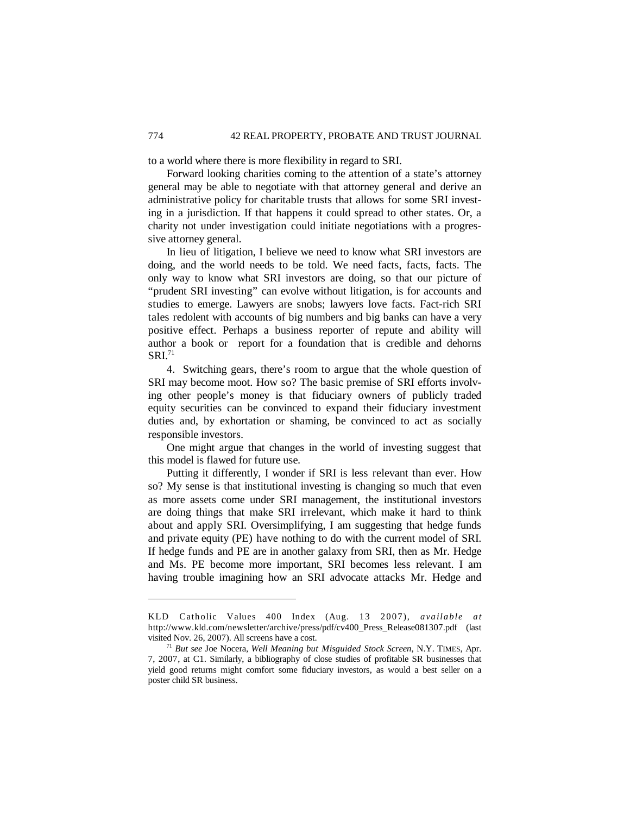to a world where there is more flexibility in regard to SRI.

Forward looking charities coming to the attention of a state's attorney general may be able to negotiate with that attorney general and derive an administrative policy for charitable trusts that allows for some SRI investing in a jurisdiction. If that happens it could spread to other states. Or, a charity not under investigation could initiate negotiations with a progressive attorney general.

In lieu of litigation, I believe we need to know what SRI investors are doing, and the world needs to be told. We need facts, facts, facts. The only way to know what SRI investors are doing, so that our picture of "prudent SRI investing" can evolve without litigation, is for accounts and studies to emerge. Lawyers are snobs; lawyers love facts. Fact-rich SRI tales redolent with accounts of big numbers and big banks can have a very positive effect. Perhaps a business reporter of repute and ability will author a book or report for a foundation that is credible and dehorns  $SRI.<sup>71</sup>$ 

4. Switching gears, there's room to argue that the whole question of SRI may become moot. How so? The basic premise of SRI efforts involving other people's money is that fiduciary owners of publicly traded equity securities can be convinced to expand their fiduciary investment duties and, by exhortation or shaming, be convinced to act as socially responsible investors.

One might argue that changes in the world of investing suggest that this model is flawed for future use.

Putting it differently, I wonder if SRI is less relevant than ever. How so? My sense is that institutional investing is changing so much that even as more assets come under SRI management, the institutional investors are doing things that make SRI irrelevant, which make it hard to think about and apply SRI. Oversimplifying, I am suggesting that hedge funds and private equity (PE) have nothing to do with the current model of SRI. If hedge funds and PE are in another galaxy from SRI, then as Mr. Hedge and Ms. PE become more important, SRI becomes less relevant. I am having trouble imagining how an SRI advocate attacks Mr. Hedge and

KLD Catholic Values 400 Index (Aug. 13 2007), *available at* http://www.kld.com/newsletter/archive/press/pdf/cv400\_Press\_Release081307.pdf (last visited Nov. 26, 2007). All screens have a cost.

<sup>71</sup> *But see* Joe Nocera, *Well Meaning but Misguided Stock Screen*, N.Y. TIMES, Apr. 7, 2007, at C1. Similarly, a bibliography of close studies of profitable SR businesses that yield good returns might comfort some fiduciary investors, as would a best seller on a poster child SR business.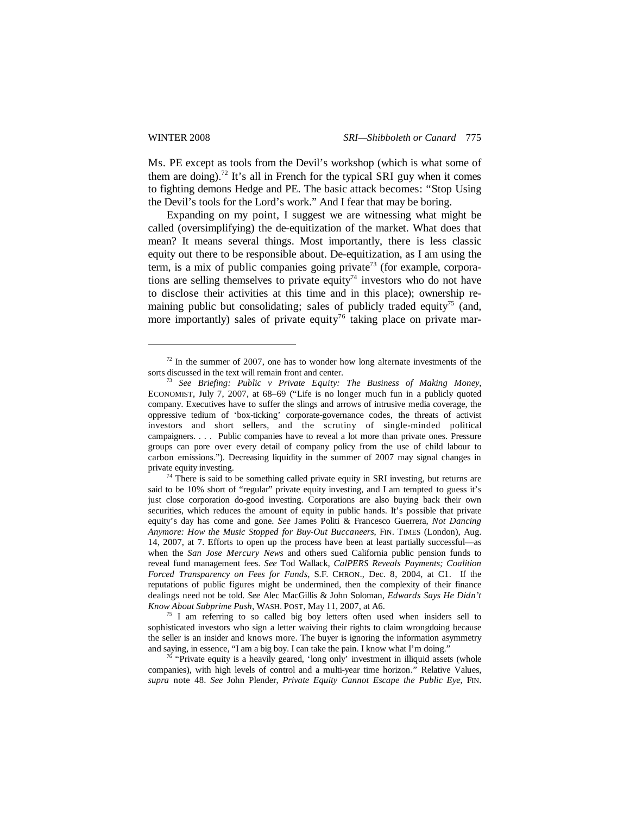Ms. PE except as tools from the Devil's workshop (which is what some of them are doing).<sup>72</sup> It's all in French for the typical SRI guy when it comes to fighting demons Hedge and PE. The basic attack becomes: "Stop Using the Devil's tools for the Lord's work." And I fear that may be boring.

Expanding on my point, I suggest we are witnessing what might be called (oversimplifying) the de-equitization of the market. What does that mean? It means several things. Most importantly, there is less classic equity out there to be responsible about. De-equitization, as I am using the term, is a mix of public companies going private<sup>73</sup> (for example, corporations are selling themselves to private equity<sup>74</sup> investors who do not have to disclose their activities at this time and in this place); ownership remaining public but consolidating; sales of publicly traded equity<sup>75</sup> (and, more importantly) sales of private equity<sup>76</sup> taking place on private mar-

 $72$  In the summer of 2007, one has to wonder how long alternate investments of the sorts discussed in the text will remain front and center.

<sup>73</sup> *See Briefing: Public v Private Equity: The Business of Making Money*, ECONOMIST, July 7, 2007, at 68–69 ("Life is no longer much fun in a publicly quoted company. Executives have to suffer the slings and arrows of intrusive media coverage, the oppressive tedium of 'box-ticking' corporate-governance codes, the threats of activist investors and short sellers, and the scrutiny of single-minded political campaigners. . . . Public companies have to reveal a lot more than private ones. Pressure groups can pore over every detail of company policy from the use of child labour to carbon emissions."). Decreasing liquidity in the summer of 2007 may signal changes in private equity investing.

<sup>&</sup>lt;sup>74</sup> There is said to be something called private equity in SRI investing, but returns are said to be 10% short of "regular" private equity investing, and I am tempted to guess it's just close corporation do-good investing. Corporations are also buying back their own securities, which reduces the amount of equity in public hands. It's possible that private equity's day has come and gone. *See* James Politi & Francesco Guerrera, *Not Dancing Anymore: How the Music Stopped for Buy-Out Buccaneers*, FIN. TIMES (London), Aug. 14, 2007, at 7. Efforts to open up the process have been at least partially successful—as when the *San Jose Mercury News* and others sued California public pension funds to reveal fund management fees. *See* Tod Wallack, *CalPERS Reveals Payments; Coalition Forced Transparency on Fees for Funds*, S.F. CHRON., Dec. 8, 2004, at C1. If the reputations of public figures might be undermined, then the complexity of their finance dealings need not be told. *See* Alec MacGillis & John Soloman, *Edwards Says He Didn't Know About Subprime Push*, WASH. POST, May 11, 2007, at A6.

 $75$  I am referring to so called big boy letters often used when insiders sell to sophisticated investors who sign a letter waiving their rights to claim wrongdoing because the seller is an insider and knows more. The buyer is ignoring the information asymmetry and saying, in essence, "I am a big boy. I can take the pain. I know what I'm doing."

<sup>&</sup>lt;sup>76</sup> "Private equity is a heavily geared, 'long only' investment in illiquid assets (whole companies), with high levels of control and a multi-year time horizon." Relative Values, *supra* note 48. *See* John Plender, *Private Equity Cannot Escape the Public Eye*, FIN.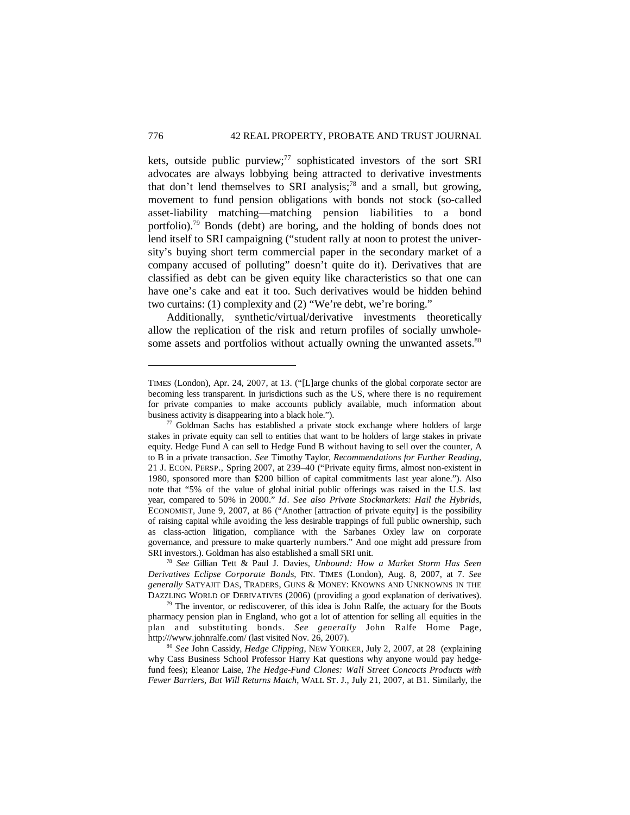kets, outside public purview;<sup>77</sup> sophisticated investors of the sort SRI advocates are always lobbying being attracted to derivative investments that don't lend themselves to SRI analysis;<sup>78</sup> and a small, but growing, movement to fund pension obligations with bonds not stock (so-called asset-liability matching—matching pension liabilities to a bond portfolio).79 Bonds (debt) are boring, and the holding of bonds does not lend itself to SRI campaigning ("student rally at noon to protest the university's buying short term commercial paper in the secondary market of a company accused of polluting" doesn't quite do it). Derivatives that are classified as debt can be given equity like characteristics so that one can have one's cake and eat it too. Such derivatives would be hidden behind two curtains: (1) complexity and (2) "We're debt, we're boring."

Additionally, synthetic/virtual/derivative investments theoretically allow the replication of the risk and return profiles of socially unwholesome assets and portfolios without actually owning the unwanted assets.<sup>80</sup>

TIMES (London), Apr. 24, 2007, at 13. ("[L]arge chunks of the global corporate sector are becoming less transparent. In jurisdictions such as the US, where there is no requirement for private companies to make accounts publicly available, much information about business activity is disappearing into a black hole.").

 $77$  Goldman Sachs has established a private stock exchange where holders of large stakes in private equity can sell to entities that want to be holders of large stakes in private equity. Hedge Fund A can sell to Hedge Fund B without having to sell over the counter, A to B in a private transaction. *See* Timothy Taylor, *Recommendations for Further Reading*, 21 J. ECON. PERSP., Spring 2007, at 239–40 ("Private equity firms, almost non-existent in 1980, sponsored more than \$200 billion of capital commitments last year alone."). Also note that "5% of the value of global initial public offerings was raised in the U.S. last year, compared to 50% in 2000." *Id*. *See also Private Stockmarkets: Hail the Hybrids*, ECONOMIST, June 9, 2007, at 86 ("Another [attraction of private equity] is the possibility of raising capital while avoiding the less desirable trappings of full public ownership, such as class-action litigation, compliance with the Sarbanes Oxley law on corporate governance, and pressure to make quarterly numbers." And one might add pressure from SRI investors.). Goldman has also established a small SRI unit.

<sup>78</sup> *See* Gillian Tett & Paul J. Davies, *Unbound: How a Market Storm Has Seen Derivatives Eclipse Corporate Bonds*, FIN. TIMES (London), Aug. 8, 2007, at 7. *See generally* SATYAJIT DAS, TRADERS, GUNS & MONEY: KNOWNS AND UNKNOWNS IN THE DAZZLING WORLD OF DERIVATIVES (2006) (providing a good explanation of derivatives).

 $79$  The inventor, or rediscoverer, of this idea is John Ralfe, the actuary for the Boots pharmacy pension plan in England, who got a lot of attention for selling all equities in the plan and substituting bonds. *See generally* John Ralfe Home Page, http:///www.johnralfe.com/ (last visited Nov. 26, 2007).

<sup>80</sup> *See* John Cassidy, *Hedge Clipping*, NEW YORKER, July 2, 2007, at 28 (explaining why Cass Business School Professor Harry Kat questions why anyone would pay hedgefund fees); Eleanor Laise, *The Hedge-Fund Clones: Wall Street Concocts Products with Fewer Barriers, But Will Returns Match*, WALL ST. J., July 21, 2007, at B1. Similarly, the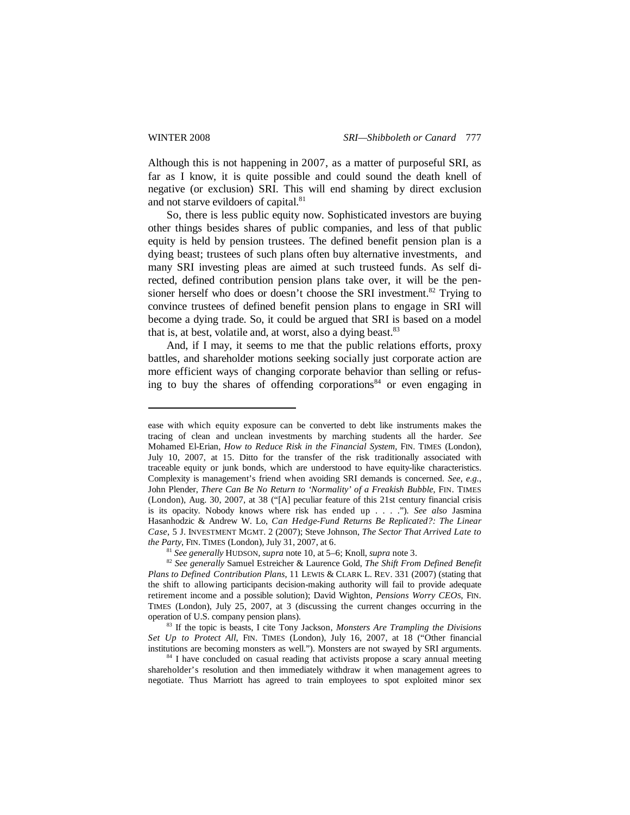Although this is not happening in 2007, as a matter of purposeful SRI, as far as I know, it is quite possible and could sound the death knell of negative (or exclusion) SRI. This will end shaming by direct exclusion and not starve evildoers of capital.<sup>81</sup>

So, there is less public equity now. Sophisticated investors are buying other things besides shares of public companies, and less of that public equity is held by pension trustees. The defined benefit pension plan is a dying beast; trustees of such plans often buy alternative investments, and many SRI investing pleas are aimed at such trusteed funds. As self directed, defined contribution pension plans take over, it will be the pensioner herself who does or doesn't choose the SRI investment.<sup>82</sup> Trying to convince trustees of defined benefit pension plans to engage in SRI will become a dying trade. So, it could be argued that SRI is based on a model that is, at best, volatile and, at worst, also a dying beast. $83$ 

And, if I may, it seems to me that the public relations efforts, proxy battles, and shareholder motions seeking socially just corporate action are more efficient ways of changing corporate behavior than selling or refusing to buy the shares of offending corporations $84$  or even engaging in

ease with which equity exposure can be converted to debt like instruments makes the tracing of clean and unclean investments by marching students all the harder. *See* Mohamed El-Erian, *How to Reduce Risk in the Financial System*, FIN. TIMES (London), July 10, 2007, at 15. Ditto for the transfer of the risk traditionally associated with traceable equity or junk bonds, which are understood to have equity-like characteristics. Complexity is management's friend when avoiding SRI demands is concerned. *See, e.g.*, John Plender, *There Can Be No Return to 'Normality' of a Freakish Bubble*, FIN. TIMES (London), Aug. 30, 2007, at 38 ("[A] peculiar feature of this 21st century financial crisis is its opacity. Nobody knows where risk has ended up . . . ."). *See also* Jasmina Hasanhodzic & Andrew W. Lo, *Can Hedge-Fund Returns Be Replicated?: The Linear Case*, 5 J. INVESTMENT MGMT. 2 (2007); Steve Johnson, *The Sector That Arrived Late to the Party*, FIN. TIMES (London), July 31, 2007, at 6.

<sup>81</sup> *See generally* HUDSON, *supra* note 10, at 5–6; Knoll, *supra* note 3.

<sup>82</sup> *See generally* Samuel Estreicher & Laurence Gold, *The Shift From Defined Benefit Plans to Defined Contribution Plans*, 11 LEWIS & CLARK L. REV. 331 (2007) (stating that the shift to allowing participants decision-making authority will fail to provide adequate retirement income and a possible solution); David Wighton, *Pensions Worry CEOS*, FIN. TIMES (London), July 25, 2007, at 3 (discussing the current changes occurring in the operation of U.S. company pension plans).

<sup>83</sup> If the topic is beasts, I cite Tony Jackson, *Monsters Are Trampling the Divisions Set Up to Protect All*, FIN. TIMES (London), July 16, 2007, at 18 ("Other financial institutions are becoming monsters as well."). Monsters are not swayed by SRI arguments.

<sup>&</sup>lt;sup>84</sup> I have concluded on casual reading that activists propose a scary annual meeting shareholder's resolution and then immediately withdraw it when management agrees to negotiate. Thus Marriott has agreed to train employees to spot exploited minor sex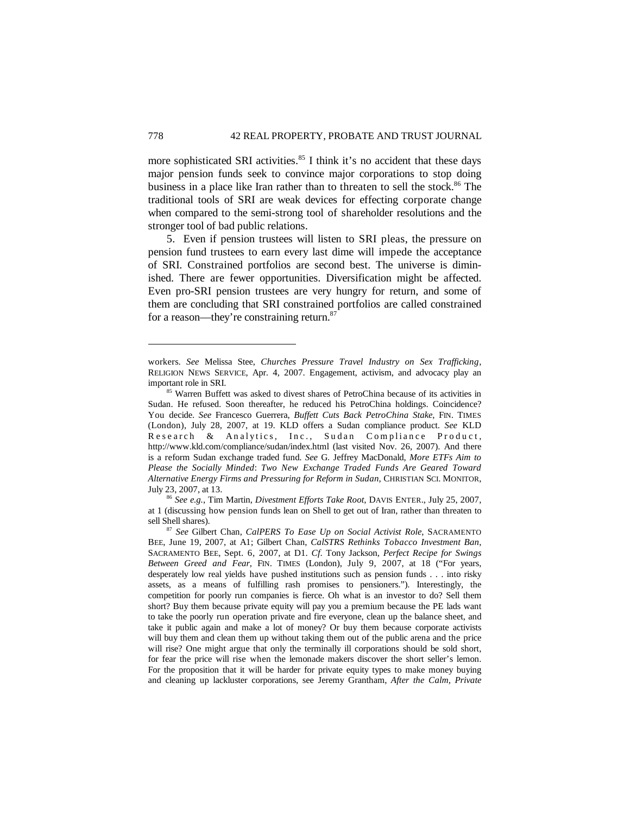more sophisticated SRI activities.<sup>85</sup> I think it's no accident that these days major pension funds seek to convince major corporations to stop doing business in a place like Iran rather than to threaten to sell the stock.<sup>86</sup> The traditional tools of SRI are weak devices for effecting corporate change when compared to the semi-strong tool of shareholder resolutions and the stronger tool of bad public relations.

5. Even if pension trustees will listen to SRI pleas, the pressure on pension fund trustees to earn every last dime will impede the acceptance of SRI. Constrained portfolios are second best. The universe is diminished. There are fewer opportunities. Diversification might be affected. Even pro-SRI pension trustees are very hungry for return, and some of them are concluding that SRI constrained portfolios are called constrained for a reason—they're constraining return.<sup>87</sup>

workers. *See* Melissa Stee, *Churches Pressure Travel Industry on Sex Trafficking*, RELIGION NEWS SERVICE, Apr. 4, 2007. Engagement, activism, and advocacy play an important role in SRI.

<sup>&</sup>lt;sup>85</sup> Warren Buffett was asked to divest shares of PetroChina because of its activities in Sudan. He refused. Soon thereafter, he reduced his PetroChina holdings. Coincidence? You decide. *See* Francesco Guerrera, *Buffett Cuts Back PetroChina Stake*, FIN. TIMES (London), July 28, 2007, at 19. KLD offers a Sudan compliance product. *See* KLD Research & Analytics, Inc., Sudan Compliance Product, http://www.kld.com/compliance/sudan/index.html (last visited Nov. 26, 2007). And there is a reform Sudan exchange traded fund. *See* G. Jeffrey MacDonald, *More ETFs Aim to Please the Socially Minded*: *Two New Exchange Traded Funds Are Geared Toward Alternative Energy Firms and Pressuring for Reform in Sudan*, CHRISTIAN SCI. MONITOR, July 23, 2007, at 13.

<sup>86</sup> *See e.g.*, Tim Martin, *Divestment Efforts Take Root*, DAVIS ENTER., July 25, 2007, at 1 (discussing how pension funds lean on Shell to get out of Iran, rather than threaten to sell Shell shares).

<sup>87</sup> *See* Gilbert Chan, *CalPERS To Ease Up on Social Activist Role*, SACRAMENTO BEE, June 19, 2007, at A1; Gilbert Chan, *CalSTRS Rethinks Tobacco Investment Ban*, SACRAMENTO BEE, Sept. 6, 2007, at D1. *Cf*. Tony Jackson, *Perfect Recipe for Swings Between Greed and Fear*, FIN. TIMES (London), July 9, 2007, at 18 ("For years, desperately low real yields have pushed institutions such as pension funds . . . into risky assets, as a means of fulfilling rash promises to pensioners."). Interestingly, the competition for poorly run companies is fierce. Oh what is an investor to do? Sell them short? Buy them because private equity will pay you a premium because the PE lads want to take the poorly run operation private and fire everyone, clean up the balance sheet, and take it public again and make a lot of money? Or buy them because corporate activists will buy them and clean them up without taking them out of the public arena and the price will rise? One might argue that only the terminally ill corporations should be sold short, for fear the price will rise when the lemonade makers discover the short seller's lemon. For the proposition that it will be harder for private equity types to make money buying and cleaning up lackluster corporations, see Jeremy Grantham, *After the Calm, Private*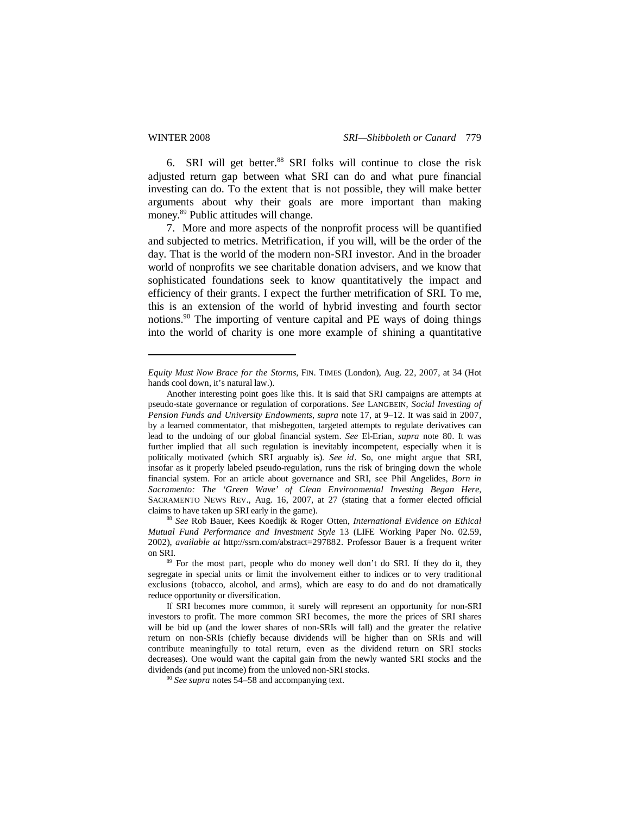6. SRI will get better.88 SRI folks will continue to close the risk adjusted return gap between what SRI can do and what pure financial investing can do. To the extent that is not possible, they will make better arguments about why their goals are more important than making money.89 Public attitudes will change.

7. More and more aspects of the nonprofit process will be quantified and subjected to metrics. Metrification, if you will, will be the order of the day. That is the world of the modern non-SRI investor. And in the broader world of nonprofits we see charitable donation advisers, and we know that sophisticated foundations seek to know quantitatively the impact and efficiency of their grants. I expect the further metrification of SRI. To me, this is an extension of the world of hybrid investing and fourth sector notions.90 The importing of venture capital and PE ways of doing things into the world of charity is one more example of shining a quantitative

*Equity Must Now Brace for the Storms*, FIN. TIMES (London), Aug. 22, 2007, at 34 (Hot hands cool down, it's natural law.).

Another interesting point goes like this. It is said that SRI campaigns are attempts at pseudo-state governance or regulation of corporations. *See* LANGBEIN, *Social Investing of Pension Funds and University Endowments*, *supra* note 17, at 9–12. It was said in 2007, by a learned commentator, that misbegotten, targeted attempts to regulate derivatives can lead to the undoing of our global financial system. *See* El-Erian, *supra* note 80. It was further implied that all such regulation is inevitably incompetent, especially when it is politically motivated (which SRI arguably is). *See id*. So, one might argue that SRI, insofar as it properly labeled pseudo-regulation, runs the risk of bringing down the whole financial system. For an article about governance and SRI, see Phil Angelides, *Born in Sacramento: The 'Green Wave' of Clean Environmental Investing Began Here*, SACRAMENTO NEWS REV., Aug. 16, 2007, at 27 (stating that a former elected official claims to have taken up SRI early in the game).

<sup>88</sup> *See* Rob Bauer, Kees Koedijk & Roger Otten, *International Evidence on Ethical Mutual Fund Performance and Investment Style* 13 (LIFE Working Paper No. 02.59, 2002), *available at* http://ssrn.com/abstract=297882. Professor Bauer is a frequent writer on SRI.

<sup>&</sup>lt;sup>89</sup> For the most part, people who do money well don't do SRI. If they do it, they segregate in special units or limit the involvement either to indices or to very traditional exclusions (tobacco, alcohol, and arms), which are easy to do and do not dramatically reduce opportunity or diversification.

If SRI becomes more common, it surely will represent an opportunity for non-SRI investors to profit. The more common SRI becomes, the more the prices of SRI shares will be bid up (and the lower shares of non-SRIs will fall) and the greater the relative return on non-SRIs (chiefly because dividends will be higher than on SRIs and will contribute meaningfully to total return, even as the dividend return on SRI stocks decreases). One would want the capital gain from the newly wanted SRI stocks and the dividends (and put income) from the unloved non-SRI stocks.

<sup>90</sup> *See supra* notes 54–58 and accompanying text.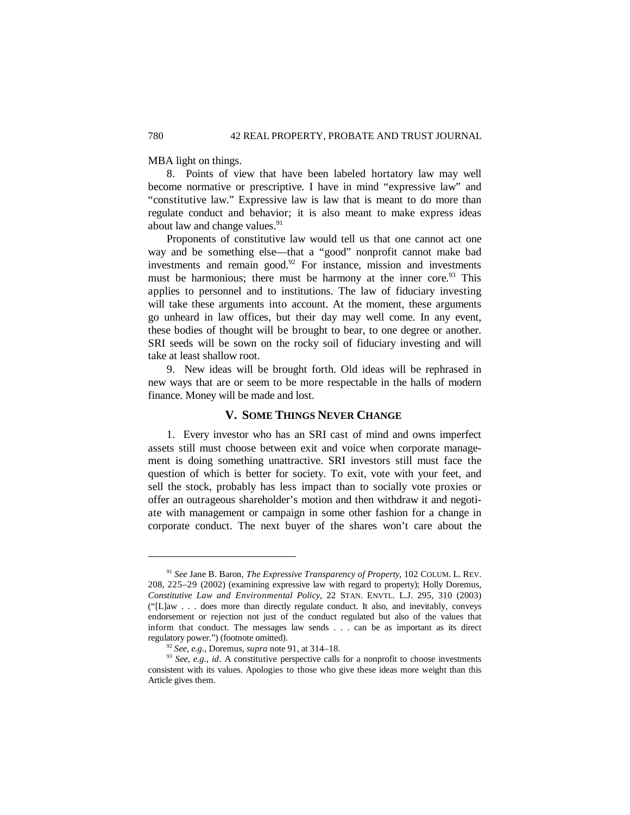MBA light on things.

8. Points of view that have been labeled hortatory law may well become normative or prescriptive. I have in mind "expressive law" and "constitutive law." Expressive law is law that is meant to do more than regulate conduct and behavior; it is also meant to make express ideas about law and change values.<sup>91</sup>

Proponents of constitutive law would tell us that one cannot act one way and be something else—that a "good" nonprofit cannot make bad investments and remain good. $92$  For instance, mission and investments must be harmonious; there must be harmony at the inner core.<sup>93</sup> This applies to personnel and to institutions. The law of fiduciary investing will take these arguments into account. At the moment, these arguments go unheard in law offices, but their day may well come. In any event, these bodies of thought will be brought to bear, to one degree or another. SRI seeds will be sown on the rocky soil of fiduciary investing and will take at least shallow root.

9. New ideas will be brought forth. Old ideas will be rephrased in new ways that are or seem to be more respectable in the halls of modern finance. Money will be made and lost.

#### **V. SOME THINGS NEVER CHANGE**

1. Every investor who has an SRI cast of mind and owns imperfect assets still must choose between exit and voice when corporate management is doing something unattractive. SRI investors still must face the question of which is better for society. To exit, vote with your feet, and sell the stock, probably has less impact than to socially vote proxies or offer an outrageous shareholder's motion and then withdraw it and negotiate with management or campaign in some other fashion for a change in corporate conduct. The next buyer of the shares won't care about the

<sup>91</sup> *See* Jane B. Baron, *The Expressive Transparency of Property*, 102 COLUM. L. REV. 208, 225–29 (2002) (examining expressive law with regard to property); Holly Doremus, *Constitutive Law and Environmental Policy*, 22 STAN. ENVTL. L.J. 295, 310 (2003) ("[L]aw . . . does more than directly regulate conduct. It also, and inevitably, conveys endorsement or rejection not just of the conduct regulated but also of the values that inform that conduct. The messages law sends . . . can be as important as its direct regulatory power.") (footnote omitted).

<sup>92</sup> *See, e.g.*, Doremus, *supra* note 91, at 314–18.

<sup>&</sup>lt;sup>93</sup> See, e.g., *id*. A constitutive perspective calls for a nonprofit to choose investments consistent with its values. Apologies to those who give these ideas more weight than this Article gives them.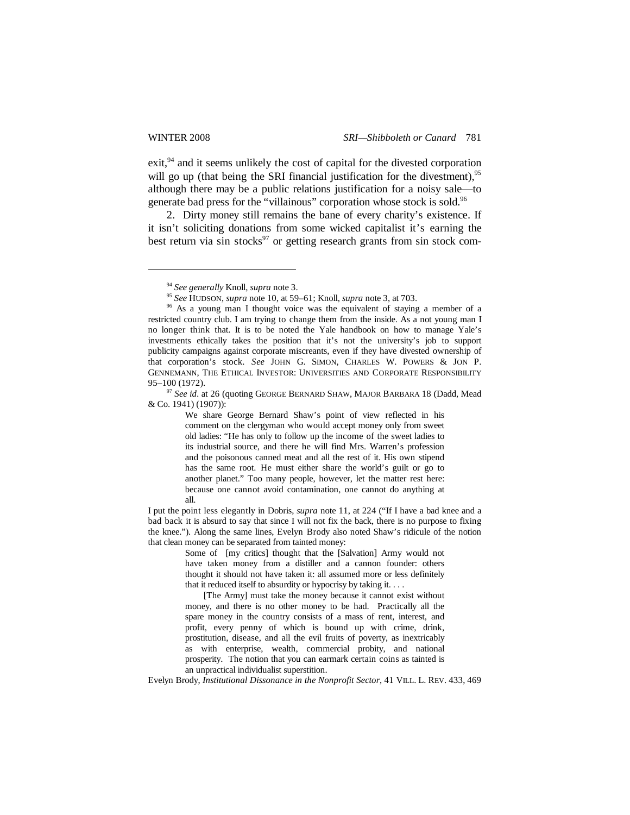exit,<sup>94</sup> and it seems unlikely the cost of capital for the divested corporation will go up (that being the SRI financial justification for the divestment),  $95$ although there may be a public relations justification for a noisy sale—to generate bad press for the "villainous" corporation whose stock is sold.<sup>96</sup>

2. Dirty money still remains the bane of every charity's existence. If it isn't soliciting donations from some wicked capitalist it's earning the best return via sin stocks $97$  or getting research grants from sin stock com-

We share George Bernard Shaw's point of view reflected in his comment on the clergyman who would accept money only from sweet old ladies: "He has only to follow up the income of the sweet ladies to its industrial source, and there he will find Mrs. Warren's profession and the poisonous canned meat and all the rest of it. His own stipend has the same root. He must either share the world's guilt or go to another planet." Too many people, however, let the matter rest here: because one cannot avoid contamination, one cannot do anything at all.

I put the point less elegantly in Dobris, *supra* note 11, at 224 ("If I have a bad knee and a bad back it is absurd to say that since I will not fix the back, there is no purpose to fixing the knee."). Along the same lines, Evelyn Brody also noted Shaw's ridicule of the notion that clean money can be separated from tainted money:

> Some of [my critics] thought that the [Salvation] Army would not have taken money from a distiller and a cannon founder: others thought it should not have taken it: all assumed more or less definitely that it reduced itself to absurdity or hypocrisy by taking it. . . .

> [The Army] must take the money because it cannot exist without money, and there is no other money to be had. Practically all the spare money in the country consists of a mass of rent, interest, and profit, every penny of which is bound up with crime, drink, prostitution, disease, and all the evil fruits of poverty, as inextricably as with enterprise, wealth, commercial probity, and national prosperity. The notion that you can earmark certain coins as tainted is an unpractical individualist superstition.

Evelyn Brody, *Institutional Dissonance in the Nonprofit Sector*, 41 VILL. L. REV. 433, 469

<sup>94</sup> *See generally* Knoll, *supra* note 3.

<sup>95</sup> *See* HUDSON, *supra* note 10, at 59–61; Knoll, *supra* note 3, at 703.

<sup>&</sup>lt;sup>96</sup> As a young man I thought voice was the equivalent of staying a member of a restricted country club. I am trying to change them from the inside. As a not young man I no longer think that. It is to be noted the Yale handbook on how to manage Yale's investments ethically takes the position that it's not the university's job to support publicity campaigns against corporate miscreants, even if they have divested ownership of that corporation's stock. *See* JOHN G. SIMON, CHARLES W. POWERS & JON P. GENNEMANN, THE ETHICAL INVESTOR: UNIVERSITIES AND CORPORATE RESPONSIBILITY 95–100 (1972).

<sup>97</sup> *See id.* at 26 (quoting GEORGE BERNARD SHAW, MAJOR BARBARA 18 (Dadd, Mead & Co. 1941) (1907)):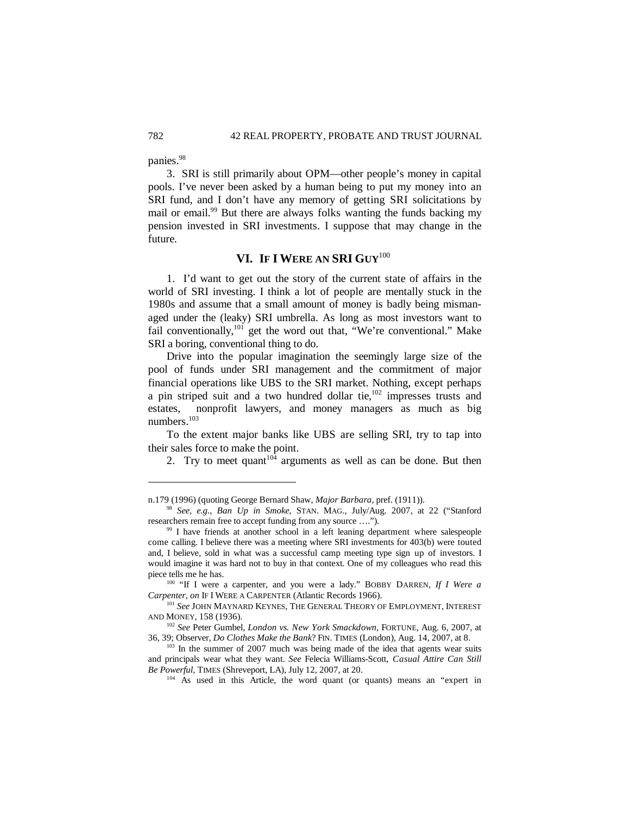panies.<sup>98</sup>

3. SRI is still primarily about OPM—other people's money in capital pools. I've never been asked by a human being to put my money into an SRI fund, and I don't have any memory of getting SRI solicitations by mail or email.<sup>99</sup> But there are always folks wanting the funds backing my pension invested in SRI investments. I suppose that may change in the future.

## **VI. IF I WERE AN SRI GUY**<sup>100</sup>

1. I'd want to get out the story of the current state of affairs in the world of SRI investing. I think a lot of people are mentally stuck in the 1980s and assume that a small amount of money is badly being mismanaged under the (leaky) SRI umbrella. As long as most investors want to fail conventionally,<sup>101</sup> get the word out that, "We're conventional." Make SRI a boring, conventional thing to do.

Drive into the popular imagination the seemingly large size of the pool of funds under SRI management and the commitment of major financial operations like UBS to the SRI market. Nothing, except perhaps a pin striped suit and a two hundred dollar tie,102 impresses trusts and estates, nonprofit lawyers, and money managers as much as big numbers.<sup>103</sup>

To the extent major banks like UBS are selling SRI, try to tap into their sales force to make the point.

2. Try to meet quant<sup> $10\overline{4}$ </sup> arguments as well as can be done. But then

n.179 (1996) (quoting George Bernard Shaw, *Major Barbara*, pref. (1911)).

<sup>98</sup> *See, e.g.*, *Ban Up in Smoke*, STAN. MAG., July/Aug. 2007, at 22 ("Stanford researchers remain free to accept funding from any source ….").

<sup>&</sup>lt;sup>99</sup> I have friends at another school in a left leaning department where salespeople come calling. I believe there was a meeting where SRI investments for 403(b) were touted and, I believe, sold in what was a successful camp meeting type sign up of investors. I would imagine it was hard not to buy in that context. One of my colleagues who read this piece tells me he has.

<sup>100 &</sup>quot;If I were a carpenter, and you were a lady." BOBBY DARREN, *If I Were a Carpenter, on* IF I WERE A CARPENTER (Atlantic Records 1966).

<sup>&</sup>lt;sup>101</sup> See JOHN MAYNARD KEYNES, THE GENERAL THEORY OF EMPLOYMENT, INTEREST AND MONEY, 158 (1936). 102 *See* Peter Gumbel, *London vs. New York Smackdown*, FORTUNE, Aug. 6, 2007, at

<sup>36, 39;</sup> Observer, *Do Clothes Make the Bank*? FIN. TIMES (London), Aug. 14, 2007, at 8.

<sup>&</sup>lt;sup>103</sup> In the summer of 2007 much was being made of the idea that agents wear suits and principals wear what they want. *See* Felecia Williams-Scott, *Casual Attire Can Still Be Powerful*, TIMES (Shreveport, LA), July 12, 2007, at 20. <sup>104</sup> As used in this Article, the word quant (or quants) means an "expert in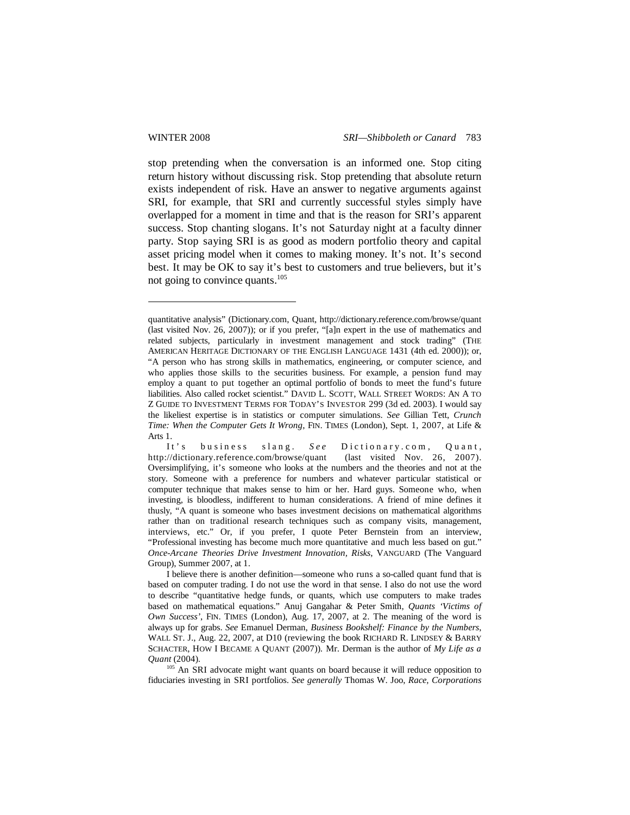stop pretending when the conversation is an informed one. Stop citing return history without discussing risk. Stop pretending that absolute return exists independent of risk. Have an answer to negative arguments against SRI, for example, that SRI and currently successful styles simply have overlapped for a moment in time and that is the reason for SRI's apparent success. Stop chanting slogans. It's not Saturday night at a faculty dinner party. Stop saying SRI is as good as modern portfolio theory and capital asset pricing model when it comes to making money. It's not. It's second best. It may be OK to say it's best to customers and true believers, but it's not going to convince quants.105

quantitative analysis" (Dictionary.com, Quant, http://dictionary.reference.com/browse/quant (last visited Nov. 26, 2007)); or if you prefer, "[a]n expert in the use of mathematics and related subjects, particularly in investment management and stock trading" (THE AMERICAN HERITAGE DICTIONARY OF THE ENGLISH LANGUAGE 1431 (4th ed. 2000)); or, "A person who has strong skills in mathematics, engineering, or computer science, and who applies those skills to the securities business. For example, a pension fund may employ a quant to put together an optimal portfolio of bonds to meet the fund's future liabilities. Also called rocket scientist." DAVID L. SCOTT, WALL STREET WORDS: AN A TO Z GUIDE TO INVESTMENT TERMS FOR TODAY'S INVESTOR 299 (3d ed. 2003). I would say the likeliest expertise is in statistics or computer simulations. *See* Gillian Tett, *Crunch Time: When the Computer Gets It Wrong*, FIN. TIMES (London), Sept. 1, 2007, at Life & Arts 1.

It's business slang. *See* Dictionary.com, Quant, http://dictionary.reference.com/browse/quant (last visited Nov. 26, 2007). Oversimplifying, it's someone who looks at the numbers and the theories and not at the story. Someone with a preference for numbers and whatever particular statistical or computer technique that makes sense to him or her. Hard guys. Someone who, when investing, is bloodless, indifferent to human considerations. A friend of mine defines it thusly, "A quant is someone who bases investment decisions on mathematical algorithms rather than on traditional research techniques such as company visits, management, interviews, etc." Or, if you prefer, I quote Peter Bernstein from an interview, "Professional investing has become much more quantitative and much less based on gut." *Once-Arcane Theories Drive Investment Innovation, Risks*, VANGUARD (The Vanguard Group), Summer 2007, at 1.

I believe there is another definition—someone who runs a so-called quant fund that is based on computer trading. I do not use the word in that sense. I also do not use the word to describe "quantitative hedge funds, or quants, which use computers to make trades based on mathematical equations." Anuj Gangahar & Peter Smith, *Quants 'Victims of Own Success'*, FIN. TIMES (London), Aug. 17, 2007, at 2. The meaning of the word is always up for grabs. *See* Emanuel Derman, *Business Bookshelf: Finance by the Numbers*, WALL ST. J., Aug. 22, 2007, at D10 (reviewing the book RICHARD R. LINDSEY & BARRY SCHACTER, HOW I BECAME A QUANT (2007)). Mr. Derman is the author of *My Life as a Quant* (2004).

<sup>&</sup>lt;sup>105</sup> An SRI advocate might want quants on board because it will reduce opposition to fiduciaries investing in SRI portfolios. *See generally* Thomas W. Joo, *Race, Corporations*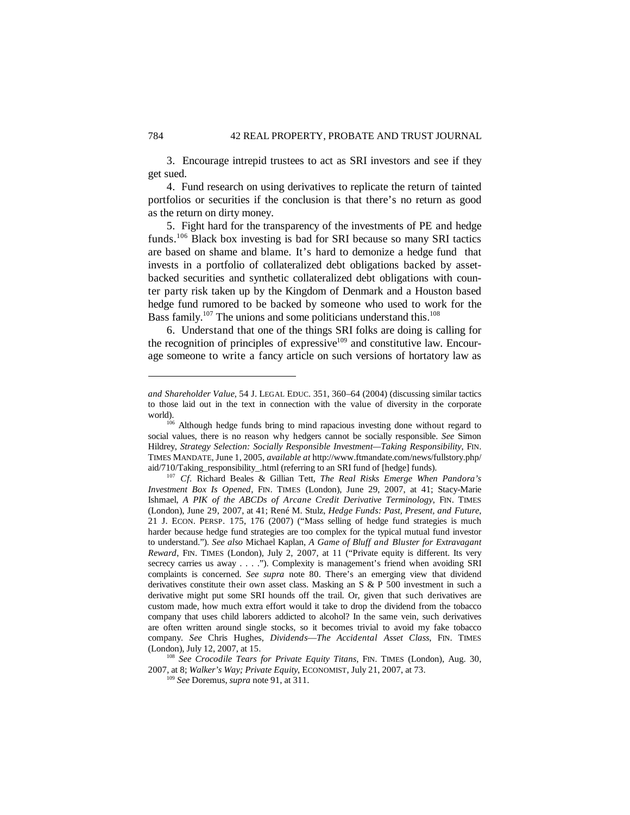3. Encourage intrepid trustees to act as SRI investors and see if they get sued.

4. Fund research on using derivatives to replicate the return of tainted portfolios or securities if the conclusion is that there's no return as good as the return on dirty money.

5. Fight hard for the transparency of the investments of PE and hedge funds.106 Black box investing is bad for SRI because so many SRI tactics are based on shame and blame. It's hard to demonize a hedge fund that invests in a portfolio of collateralized debt obligations backed by assetbacked securities and synthetic collateralized debt obligations with counter party risk taken up by the Kingdom of Denmark and a Houston based hedge fund rumored to be backed by someone who used to work for the Bass family.<sup>107</sup> The unions and some politicians understand this.<sup>108</sup>

6. Understand that one of the things SRI folks are doing is calling for the recognition of principles of expressive $109$  and constitutive law. Encourage someone to write a fancy article on such versions of hortatory law as

*and Shareholder Value*, 54 J. LEGAL EDUC. 351, 360–64 (2004) (discussing similar tactics to those laid out in the text in connection with the value of diversity in the corporate world).

<sup>&</sup>lt;sup>106</sup> Although hedge funds bring to mind rapacious investing done without regard to social values, there is no reason why hedgers cannot be socially responsible. *See* Simon Hildrey, *Strategy Selection: Socially Responsible Investment—Taking Responsibility*, FIN. TIMES MANDATE, June 1, 2005, *available at* http://www.ftmandate.com/news/fullstory.php/ aid/710/Taking\_responsibility\_.html (referring to an SRI fund of [hedge] funds).

<sup>107</sup> *Cf*. Richard Beales & Gillian Tett, *The Real Risks Emerge When Pandora's Investment Box Is Opened*, FIN. TIMES (London), June 29, 2007, at 41; Stacy-Marie Ishmael, *A PIK of the ABCDs of Arcane Credit Derivative Terminology*, FIN. TIMES (London), June 29, 2007, at 41; René M. Stulz, *Hedge Funds: Past, Present, and Future*, 21 J. ECON. PERSP. 175, 176 (2007) ("Mass selling of hedge fund strategies is much harder because hedge fund strategies are too complex for the typical mutual fund investor to understand."). *See also* Michael Kaplan, *A Game of Bluff and Bluster for Extravagant Reward*, FIN. TIMES (London), July 2, 2007, at 11 ("Private equity is different. Its very secrecy carries us away . . . ."). Complexity is management's friend when avoiding SRI complaints is concerned. *See supra* note 80. There's an emerging view that dividend derivatives constitute their own asset class. Masking an S & P 500 investment in such a derivative might put some SRI hounds off the trail. Or, given that such derivatives are custom made, how much extra effort would it take to drop the dividend from the tobacco company that uses child laborers addicted to alcohol? In the same vein, such derivatives are often written around single stocks, so it becomes trivial to avoid my fake tobacco company. *See* Chris Hughes, *Dividends*—*The Accidental Asset Class*, FIN. TIMES (London), July 12, 2007, at 15.

<sup>108</sup> *See Crocodile Tears for Private Equity Titans*, FIN. TIMES (London), Aug. 30, 2007, at 8; *Walker's Way; Private Equity*, ECONOMIST, July 21, 2007, at 73.

<sup>109</sup> *See* Doremus, *supra* note 91, at 311.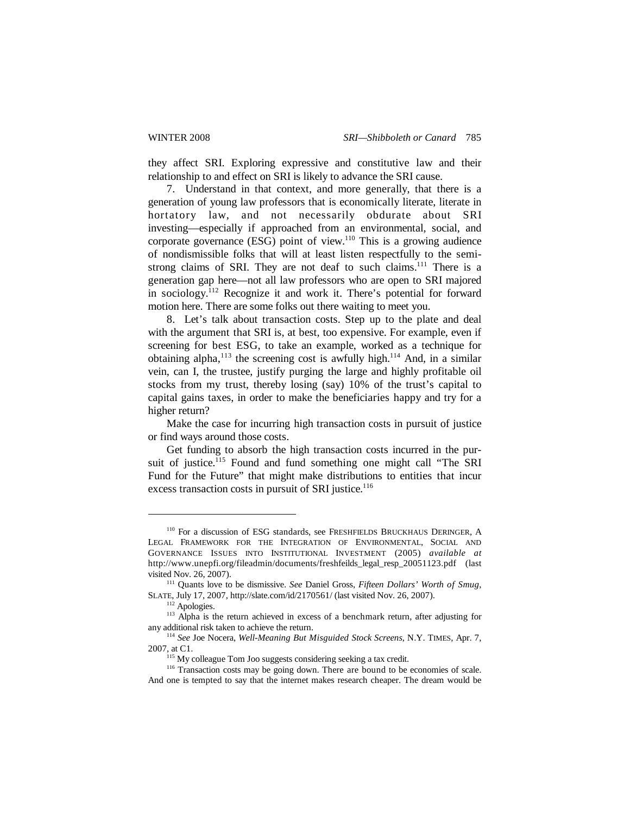they affect SRI. Exploring expressive and constitutive law and their relationship to and effect on SRI is likely to advance the SRI cause.

7. Understand in that context, and more generally, that there is a generation of young law professors that is economically literate, literate in hortatory law, and not necessarily obdurate about SRI investing—especially if approached from an environmental, social, and corporate governance (ESG) point of view.<sup>110</sup> This is a growing audience of nondismissible folks that will at least listen respectfully to the semistrong claims of SRI. They are not deaf to such claims.<sup>111</sup> There is a generation gap here—not all law professors who are open to SRI majored in sociology.112 Recognize it and work it. There's potential for forward motion here. There are some folks out there waiting to meet you.

8. Let's talk about transaction costs. Step up to the plate and deal with the argument that SRI is, at best, too expensive. For example, even if screening for best ESG, to take an example, worked as a technique for obtaining alpha,<sup>113</sup> the screening cost is awfully high.<sup>114</sup> And, in a similar vein, can I, the trustee, justify purging the large and highly profitable oil stocks from my trust, thereby losing (say) 10% of the trust's capital to capital gains taxes, in order to make the beneficiaries happy and try for a higher return?

Make the case for incurring high transaction costs in pursuit of justice or find ways around those costs.

Get funding to absorb the high transaction costs incurred in the pursuit of justice.<sup>115</sup> Found and fund something one might call "The SRI Fund for the Future" that might make distributions to entities that incur excess transaction costs in pursuit of SRI justice. $116$ 

<sup>&</sup>lt;sup>110</sup> For a discussion of ESG standards, see FRESHFIELDS BRUCKHAUS DERINGER, A LEGAL FRAMEWORK FOR THE INTEGRATION OF ENVIRONMENTAL, SOCIAL AND GOVERNANCE ISSUES INTO INSTITUTIONAL INVESTMENT (2005) *available at* http://www.unepfi.org/fileadmin/documents/freshfeilds\_legal\_resp\_20051123.pdf (last visited Nov. 26, 2007).

<sup>111</sup> Quants love to be dismissive. *See* Daniel Gross, *Fifteen Dollars' Worth of Smug*, SLATE, July 17, 2007, http://slate.com/id/2170561/ (last visited Nov. 26, 2007).

<sup>&</sup>lt;sup>112</sup> Apologies.

<sup>&</sup>lt;sup>113</sup> Alpha is the return achieved in excess of a benchmark return, after adjusting for any additional risk taken to achieve the return.

<sup>114</sup> *See* Joe Nocera, *Well-Meaning But Misguided Stock Screens*, N.Y. TIMES, Apr. 7, 2007, at C1.

<sup>115</sup> My colleague Tom Joo suggests considering seeking a tax credit.

<sup>&</sup>lt;sup>116</sup> Transaction costs may be going down. There are bound to be economies of scale. And one is tempted to say that the internet makes research cheaper. The dream would be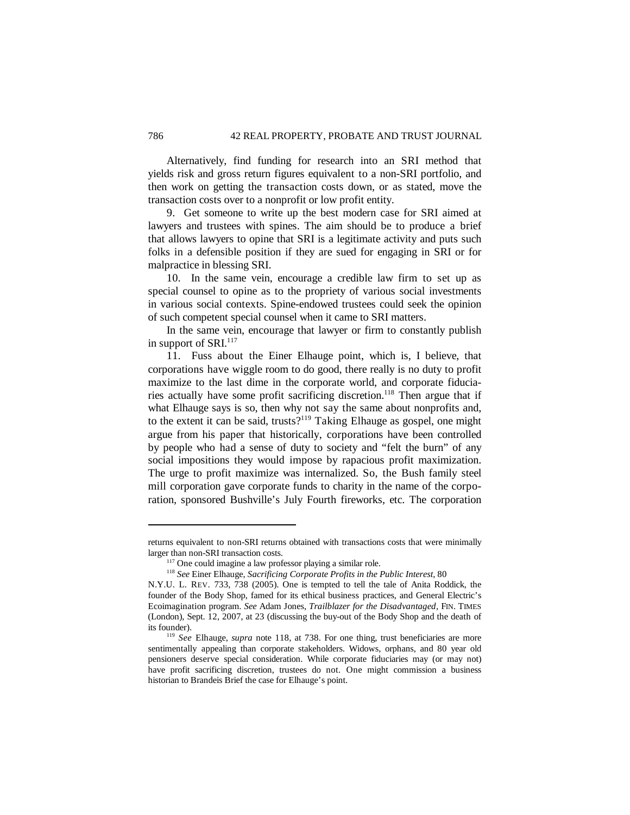Alternatively, find funding for research into an SRI method that yields risk and gross return figures equivalent to a non-SRI portfolio, and then work on getting the transaction costs down, or as stated, move the transaction costs over to a nonprofit or low profit entity.

9. Get someone to write up the best modern case for SRI aimed at lawyers and trustees with spines. The aim should be to produce a brief that allows lawyers to opine that SRI is a legitimate activity and puts such folks in a defensible position if they are sued for engaging in SRI or for malpractice in blessing SRI.

10. In the same vein, encourage a credible law firm to set up as special counsel to opine as to the propriety of various social investments in various social contexts. Spine-endowed trustees could seek the opinion of such competent special counsel when it came to SRI matters.

In the same vein, encourage that lawyer or firm to constantly publish in support of  $SRI$ <sup>117</sup>

11. Fuss about the Einer Elhauge point, which is, I believe, that corporations have wiggle room to do good, there really is no duty to profit maximize to the last dime in the corporate world, and corporate fiduciaries actually have some profit sacrificing discretion.<sup>118</sup> Then argue that if what Elhauge says is so, then why not say the same about nonprofits and, to the extent it can be said, trusts?<sup>119</sup> Taking Elhauge as gospel, one might argue from his paper that historically, corporations have been controlled by people who had a sense of duty to society and "felt the burn" of any social impositions they would impose by rapacious profit maximization. The urge to profit maximize was internalized. So, the Bush family steel mill corporation gave corporate funds to charity in the name of the corporation, sponsored Bushville's July Fourth fireworks, etc. The corporation

returns equivalent to non-SRI returns obtained with transactions costs that were minimally larger than non-SRI transaction costs.<br><sup>117</sup> One could imagine a law professor playing a similar role.

<sup>118</sup> *See* Einer Elhauge, *Sacrificing Corporate Profits in the Public Interest*, 80

N.Y.U. L. REV. 733, 738 (2005). One is tempted to tell the tale of Anita Roddick, the founder of the Body Shop, famed for its ethical business practices, and General Electric's Ecoimagination program. *See* Adam Jones, *Trailblazer for the Disadvantaged*, FIN. TIMES (London), Sept. 12, 2007, at 23 (discussing the buy-out of the Body Shop and the death of its founder).

<sup>119</sup> *See* Elhauge, *supra* note 118, at 738. For one thing, trust beneficiaries are more sentimentally appealing than corporate stakeholders. Widows, orphans, and 80 year old pensioners deserve special consideration. While corporate fiduciaries may (or may not) have profit sacrificing discretion, trustees do not. One might commission a business historian to Brandeis Brief the case for Elhauge's point.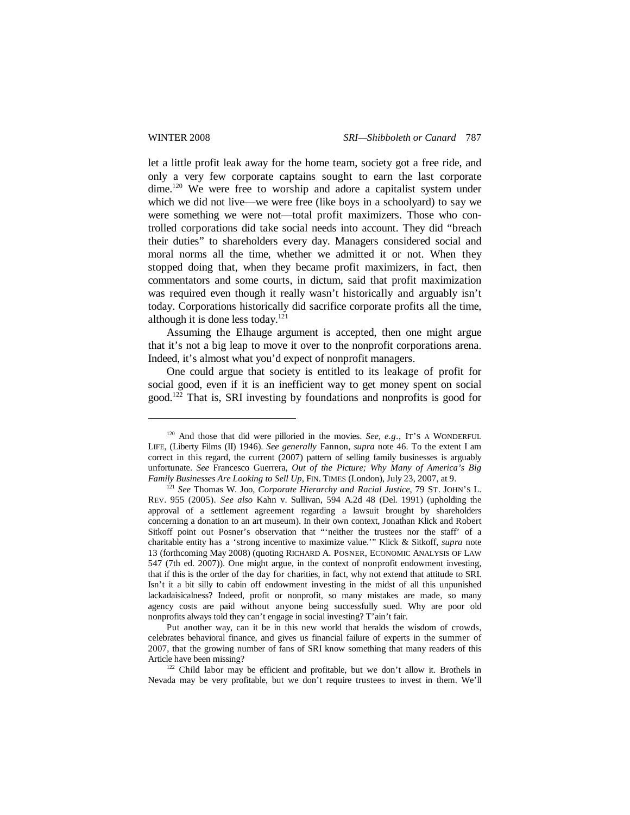let a little profit leak away for the home team, society got a free ride, and only a very few corporate captains sought to earn the last corporate dime.<sup>120</sup> We were free to worship and adore a capitalist system under which we did not live—we were free (like boys in a schoolyard) to say we were something we were not—total profit maximizers. Those who controlled corporations did take social needs into account. They did "breach their duties" to shareholders every day. Managers considered social and moral norms all the time, whether we admitted it or not. When they stopped doing that, when they became profit maximizers, in fact, then commentators and some courts, in dictum, said that profit maximization was required even though it really wasn't historically and arguably isn't today. Corporations historically did sacrifice corporate profits all the time, although it is done less today.121

Assuming the Elhauge argument is accepted, then one might argue that it's not a big leap to move it over to the nonprofit corporations arena. Indeed, it's almost what you'd expect of nonprofit managers.

One could argue that society is entitled to its leakage of profit for social good, even if it is an inefficient way to get money spent on social good.122 That is, SRI investing by foundations and nonprofits is good for

<sup>&</sup>lt;sup>120</sup> And those that did were pilloried in the movies. *See, e.g.*, IT'S A WONDERFUL LIFE, (Liberty Films (II) 1946). *See generally* Fannon, *supra* note 46. To the extent I am correct in this regard, the current (2007) pattern of selling family businesses is arguably unfortunate. *See* Francesco Guerrera, *Out of the Picture; Why Many of America's Big Family Businesses Are Looking to Sell Up*, FIN. TIMES (London), July 23, 2007, at 9.

<sup>121</sup> *See* Thomas W. Joo, *Corporate Hierarchy and Racial Justice*, 79 ST. JOHN'S L. REV. 955 (2005). *See also* Kahn v. Sullivan, 594 A.2d 48 (Del. 1991) (upholding the approval of a settlement agreement regarding a lawsuit brought by shareholders concerning a donation to an art museum). In their own context, Jonathan Klick and Robert Sitkoff point out Posner's observation that "'neither the trustees nor the staff' of a charitable entity has a 'strong incentive to maximize value.'" Klick & Sitkoff, *supra* note 13 (forthcoming May 2008) (quoting RICHARD A. POSNER, ECONOMIC ANALYSIS OF LAW 547 (7th ed. 2007)). One might argue, in the context of nonprofit endowment investing, that if this is the order of the day for charities, in fact, why not extend that attitude to SRI. Isn't it a bit silly to cabin off endowment investing in the midst of all this unpunished lackadaisicalness? Indeed, profit or nonprofit, so many mistakes are made, so many agency costs are paid without anyone being successfully sued. Why are poor old nonprofits always told they can't engage in social investing? T'ain't fair.

Put another way, can it be in this new world that heralds the wisdom of crowds, celebrates behavioral finance, and gives us financial failure of experts in the summer of 2007, that the growing number of fans of SRI know something that many readers of this Article have been missing?

 $122$  Child labor may be efficient and profitable, but we don't allow it. Brothels in Nevada may be very profitable, but we don't require trustees to invest in them. We'll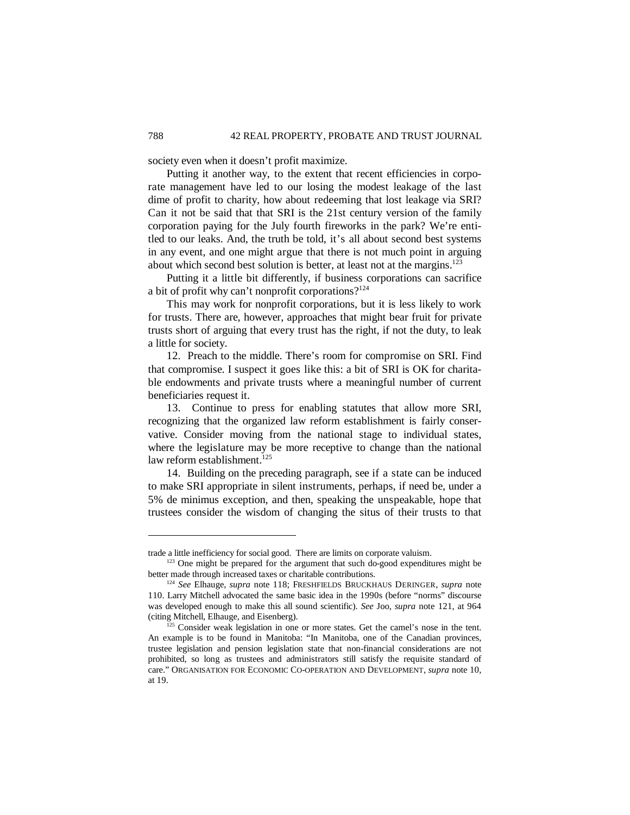society even when it doesn't profit maximize.

Putting it another way, to the extent that recent efficiencies in corporate management have led to our losing the modest leakage of the last dime of profit to charity, how about redeeming that lost leakage via SRI? Can it not be said that that SRI is the 21st century version of the family corporation paying for the July fourth fireworks in the park? We're entitled to our leaks. And, the truth be told, it's all about second best systems in any event, and one might argue that there is not much point in arguing about which second best solution is better, at least not at the margins.<sup>123</sup>

Putting it a little bit differently, if business corporations can sacrifice a bit of profit why can't nonprofit corporations? $124$ 

This may work for nonprofit corporations, but it is less likely to work for trusts. There are, however, approaches that might bear fruit for private trusts short of arguing that every trust has the right, if not the duty, to leak a little for society.

12. Preach to the middle. There's room for compromise on SRI. Find that compromise. I suspect it goes like this: a bit of SRI is OK for charitable endowments and private trusts where a meaningful number of current beneficiaries request it.

13. Continue to press for enabling statutes that allow more SRI, recognizing that the organized law reform establishment is fairly conservative. Consider moving from the national stage to individual states, where the legislature may be more receptive to change than the national law reform establishment.<sup>125</sup>

14. Building on the preceding paragraph, see if a state can be induced to make SRI appropriate in silent instruments, perhaps, if need be, under a 5% de minimus exception, and then, speaking the unspeakable, hope that trustees consider the wisdom of changing the situs of their trusts to that

trade a little inefficiency for social good. There are limits on corporate valuism.

<sup>&</sup>lt;sup>123</sup> One might be prepared for the argument that such do-good expenditures might be better made through increased taxes or charitable contributions.

<sup>124</sup> *See* Elhauge, *supra* note 118; FRESHFIELDS BRUCKHAUS DERINGER, *supra* note 110. Larry Mitchell advocated the same basic idea in the 1990s (before "norms" discourse was developed enough to make this all sound scientific). *See* Joo, *supra* note 121, at 964 (citing Mitchell, Elhauge, and Eisenberg).

<sup>&</sup>lt;sup>125</sup> Consider weak legislation in one or more states. Get the camel's nose in the tent. An example is to be found in Manitoba: "In Manitoba, one of the Canadian provinces, trustee legislation and pension legislation state that non-financial considerations are not prohibited, so long as trustees and administrators still satisfy the requisite standard of care." ORGANISATION FOR ECONOMIC CO-OPERATION AND DEVELOPMENT, *supra* note 10, at 19.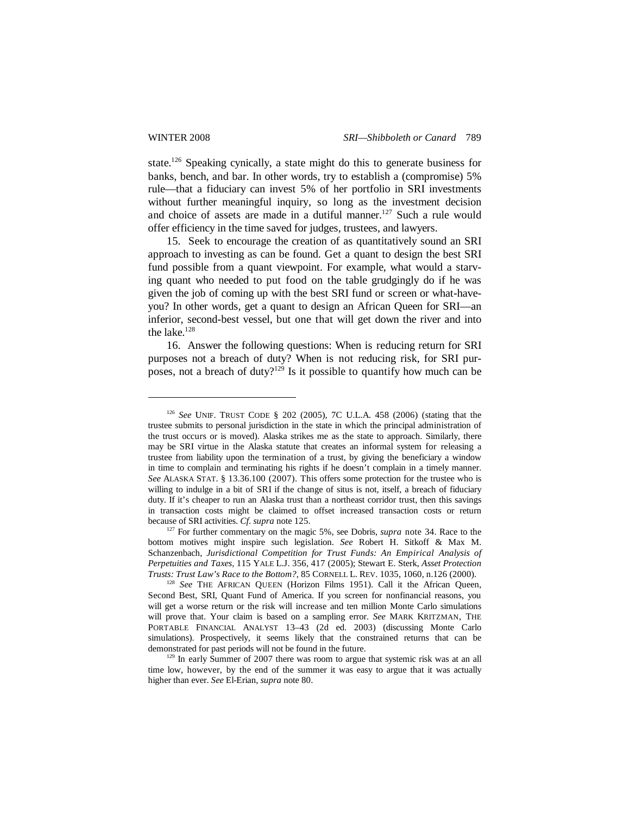state.126 Speaking cynically, a state might do this to generate business for banks, bench, and bar. In other words, try to establish a (compromise) 5% rule—that a fiduciary can invest 5% of her portfolio in SRI investments without further meaningful inquiry, so long as the investment decision and choice of assets are made in a dutiful manner.<sup>127</sup> Such a rule would offer efficiency in the time saved for judges, trustees, and lawyers.

15. Seek to encourage the creation of as quantitatively sound an SRI approach to investing as can be found. Get a quant to design the best SRI fund possible from a quant viewpoint. For example, what would a starving quant who needed to put food on the table grudgingly do if he was given the job of coming up with the best SRI fund or screen or what-haveyou? In other words, get a quant to design an African Queen for SRI—an inferior, second-best vessel, but one that will get down the river and into the lake.<sup>128</sup>

16. Answer the following questions: When is reducing return for SRI purposes not a breach of duty? When is not reducing risk, for SRI purposes, not a breach of duty?<sup>129</sup> Is it possible to quantify how much can be

<sup>126</sup> *See* UNIF. TRUST CODE § 202 (2005), 7C U.L.A. 458 (2006) (stating that the trustee submits to personal jurisdiction in the state in which the principal administration of the trust occurs or is moved). Alaska strikes me as the state to approach. Similarly, there may be SRI virtue in the Alaska statute that creates an informal system for releasing a trustee from liability upon the termination of a trust, by giving the beneficiary a window in time to complain and terminating his rights if he doesn't complain in a timely manner. *See* ALASKA STAT. § 13.36.100 (2007). This offers some protection for the trustee who is willing to indulge in a bit of SRI if the change of situs is not, itself, a breach of fiduciary duty. If it's cheaper to run an Alaska trust than a northeast corridor trust, then this savings in transaction costs might be claimed to offset increased transaction costs or return because of SRI activities. *Cf*. *supra* note 125.

<sup>&</sup>lt;sup>127</sup> For further commentary on the magic 5%, see Dobris, *supra* note 34. Race to the bottom motives might inspire such legislation. *See* Robert H. Sitkoff & Max M. Schanzenbach, *Jurisdictional Competition for Trust Funds: An Empirical Analysis of Perpetuities and Taxes*, 115 YALE L.J. 356, 417 (2005); Stewart E. Sterk, *Asset Protection Trusts: Trust Law's Race to the Bottom?*, 85 CORNELL L. REV. 1035, 1060, n.126 (2000).

<sup>128</sup> *See* THE AFRICAN QUEEN (Horizon Films 1951). Call it the African Queen, Second Best, SRI, Quant Fund of America. If you screen for nonfinancial reasons, you will get a worse return or the risk will increase and ten million Monte Carlo simulations will prove that. Your claim is based on a sampling error. *See* MARK KRITZMAN, THE PORTABLE FINANCIAL ANALYST 13–43 (2d ed. 2003) (discussing Monte Carlo simulations). Prospectively, it seems likely that the constrained returns that can be demonstrated for past periods will not be found in the future.

<sup>&</sup>lt;sup>129</sup> In early Summer of 2007 there was room to argue that systemic risk was at an all time low, however, by the end of the summer it was easy to argue that it was actually higher than ever. *See* El-Erian, *supra* note 80.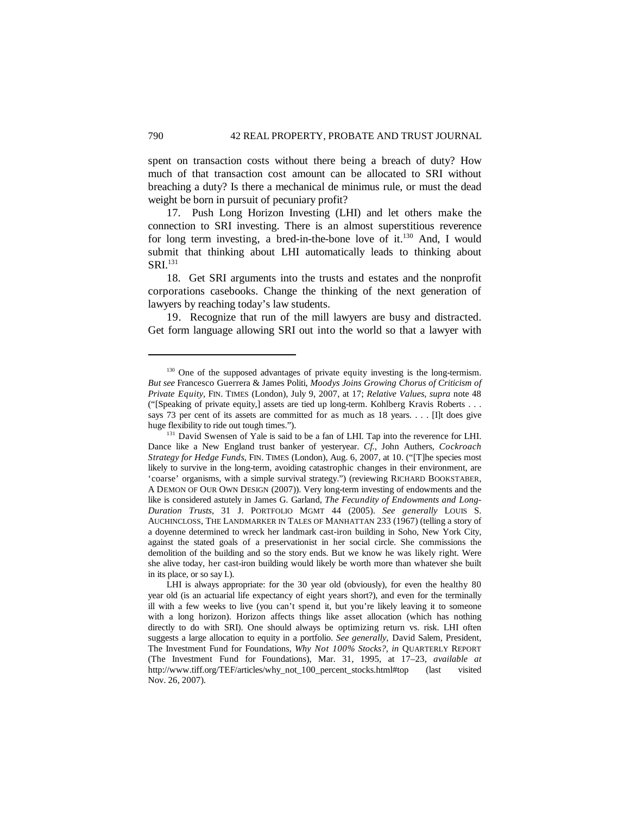spent on transaction costs without there being a breach of duty? How much of that transaction cost amount can be allocated to SRI without breaching a duty? Is there a mechanical de minimus rule, or must the dead weight be born in pursuit of pecuniary profit?

17. Push Long Horizon Investing (LHI) and let others make the connection to SRI investing. There is an almost superstitious reverence for long term investing, a bred-in-the-bone love of it. $^{130}$  And, I would submit that thinking about LHI automatically leads to thinking about  $SRI.<sup>131</sup>$ 

18. Get SRI arguments into the trusts and estates and the nonprofit corporations casebooks. Change the thinking of the next generation of lawyers by reaching today's law students.

19. Recognize that run of the mill lawyers are busy and distracted. Get form language allowing SRI out into the world so that a lawyer with

<sup>&</sup>lt;sup>130</sup> One of the supposed advantages of private equity investing is the long-termism. *But see* Francesco Guerrera & James Politi, *Moodys Joins Growing Chorus of Criticism of Private Equity*, FIN. TIMES (London), July 9, 2007, at 17; *Relative Values*, *supra* note 48 ("[Speaking of private equity,] assets are tied up long-term. Kohlberg Kravis Roberts . . . says 73 per cent of its assets are committed for as much as 18 years. . . . [I]t does give huge flexibility to ride out tough times.").

<sup>&</sup>lt;sup>131</sup> David Swensen of Yale is said to be a fan of LHI. Tap into the reverence for LHI. Dance like a New England trust banker of yesteryear. *Cf.*, John Authers, *Cockroach Strategy for Hedge Funds*, FIN. TIMES (London), Aug. 6, 2007, at 10. ("[T]he species most likely to survive in the long-term, avoiding catastrophic changes in their environment, are 'coarse' organisms, with a simple survival strategy.") (reviewing RICHARD BOOKSTABER, A DEMON OF OUR OWN DESIGN (2007)). Very long-term investing of endowments and the like is considered astutely in James G. Garland, *The Fecundity of Endowments and Long-Duration Trusts*, 31 J. PORTFOLIO MGMT 44 (2005). *See generally* LOUIS S. AUCHINCLOSS, THE LANDMARKER IN TALES OF MANHATTAN 233 (1967) (telling a story of a doyenne determined to wreck her landmark cast-iron building in Soho, New York City, against the stated goals of a preservationist in her social circle. She commissions the demolition of the building and so the story ends. But we know he was likely right. Were she alive today, her cast-iron building would likely be worth more than whatever she built in its place, or so say I.).

LHI is always appropriate: for the 30 year old (obviously), for even the healthy 80 year old (is an actuarial life expectancy of eight years short?), and even for the terminally ill with a few weeks to live (you can't spend it, but you're likely leaving it to someone with a long horizon). Horizon affects things like asset allocation (which has nothing directly to do with SRI). One should always be optimizing return vs. risk. LHI often suggests a large allocation to equity in a portfolio. *See generally*, David Salem, President, The Investment Fund for Foundations, *Why Not 100% Stocks?*, *in* QUARTERLY REPORT (The Investment Fund for Foundations), Mar. 31, 1995, at 17–23, *available at* http://www.tiff.org/TEF/articles/why\_not\_100\_percent\_stocks.html#top (last visited Nov. 26, 2007).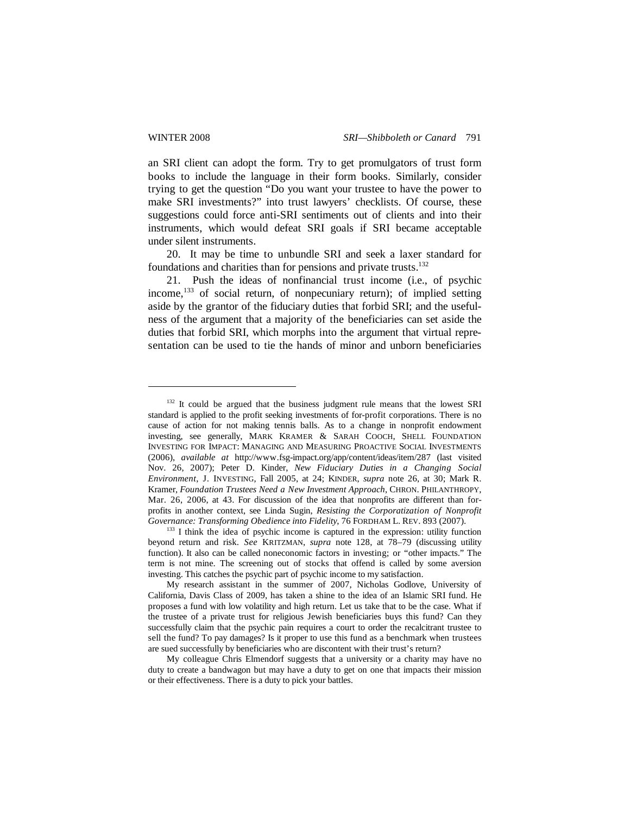an SRI client can adopt the form. Try to get promulgators of trust form books to include the language in their form books. Similarly, consider trying to get the question "Do you want your trustee to have the power to make SRI investments?" into trust lawyers' checklists. Of course, these suggestions could force anti-SRI sentiments out of clients and into their instruments, which would defeat SRI goals if SRI became acceptable under silent instruments.

20. It may be time to unbundle SRI and seek a laxer standard for foundations and charities than for pensions and private trusts.132

21. Push the ideas of nonfinancial trust income (i.e., of psychic income,<sup>133</sup> of social return, of nonpecuniary return); of implied setting aside by the grantor of the fiduciary duties that forbid SRI; and the usefulness of the argument that a majority of the beneficiaries can set aside the duties that forbid SRI, which morphs into the argument that virtual representation can be used to tie the hands of minor and unborn beneficiaries

<sup>&</sup>lt;sup>132</sup> It could be argued that the business judgment rule means that the lowest SRI standard is applied to the profit seeking investments of for-profit corporations. There is no cause of action for not making tennis balls. As to a change in nonprofit endowment investing, see generally, MARK KRAMER & SARAH COOCH, SHELL FOUNDATION INVESTING FOR IMPACT: MANAGING AND MEASURING PROACTIVE SOCIAL INVESTMENTS (2006), *available at* http://www.fsg-impact.org/app/content/ideas/item/287 (last visited Nov. 26, 2007); Peter D. Kinder, *New Fiduciary Duties in a Changing Social Environment*, J. INVESTING, Fall 2005, at 24; KINDER, *supra* note 26, at 30; Mark R. Kramer, *Foundation Trustees Need a New Investment Approach*, CHRON. PHILANTHROPY, Mar. 26, 2006, at 43. For discussion of the idea that nonprofits are different than forprofits in another context, see Linda Sugin, *Resisting the Corporatization of Nonprofit Governance: Transforming Obedience into Fidelity*, 76 FORDHAM L. REV. 893 (2007).

<sup>&</sup>lt;sup>133</sup> I think the idea of psychic income is captured in the expression: utility function beyond return and risk. *See* KRITZMAN, *supra* note 128, at 78–79 (discussing utility function). It also can be called noneconomic factors in investing; or "other impacts." The term is not mine. The screening out of stocks that offend is called by some aversion investing. This catches the psychic part of psychic income to my satisfaction.

My research assistant in the summer of 2007, Nicholas Godlove, University of California, Davis Class of 2009, has taken a shine to the idea of an Islamic SRI fund. He proposes a fund with low volatility and high return. Let us take that to be the case. What if the trustee of a private trust for religious Jewish beneficiaries buys this fund? Can they successfully claim that the psychic pain requires a court to order the recalcitrant trustee to sell the fund? To pay damages? Is it proper to use this fund as a benchmark when trustees are sued successfully by beneficiaries who are discontent with their trust's return?

My colleague Chris Elmendorf suggests that a university or a charity may have no duty to create a bandwagon but may have a duty to get on one that impacts their mission or their effectiveness. There is a duty to pick your battles.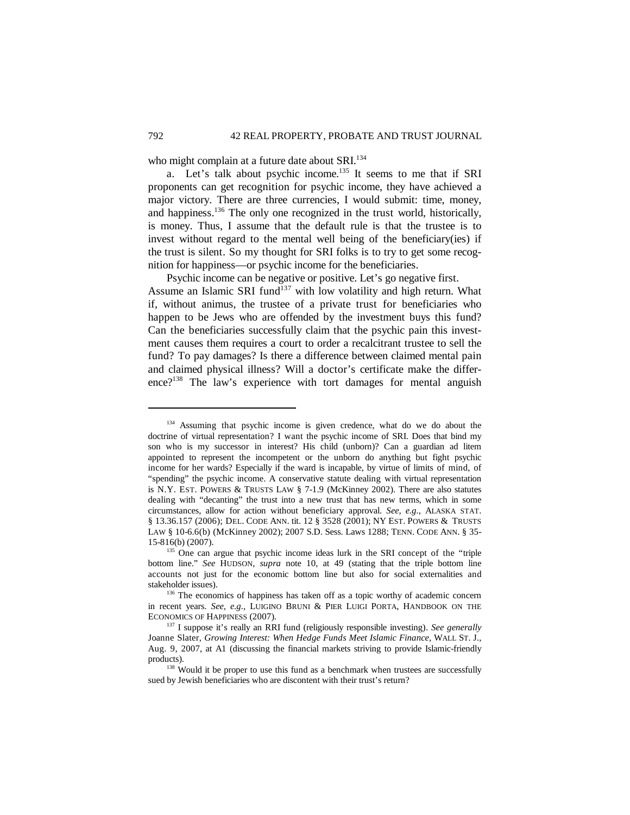who might complain at a future date about SRI.<sup>134</sup>

a. Let's talk about psychic income.<sup>135</sup> It seems to me that if SRI proponents can get recognition for psychic income, they have achieved a major victory. There are three currencies, I would submit: time, money, and happiness.<sup>136</sup> The only one recognized in the trust world, historically, is money. Thus, I assume that the default rule is that the trustee is to invest without regard to the mental well being of the beneficiary(ies) if the trust is silent. So my thought for SRI folks is to try to get some recognition for happiness—or psychic income for the beneficiaries.

Psychic income can be negative or positive. Let's go negative first. Assume an Islamic SRI fund<sup>137</sup> with low volatility and high return. What if, without animus, the trustee of a private trust for beneficiaries who happen to be Jews who are offended by the investment buys this fund? Can the beneficiaries successfully claim that the psychic pain this investment causes them requires a court to order a recalcitrant trustee to sell the fund? To pay damages? Is there a difference between claimed mental pain and claimed physical illness? Will a doctor's certificate make the difference?138 The law's experience with tort damages for mental anguish

<sup>&</sup>lt;sup>134</sup> Assuming that psychic income is given credence, what do we do about the doctrine of virtual representation? I want the psychic income of SRI. Does that bind my son who is my successor in interest? His child (unborn)? Can a guardian ad litem appointed to represent the incompetent or the unborn do anything but fight psychic income for her wards? Especially if the ward is incapable, by virtue of limits of mind, of "spending" the psychic income. A conservative statute dealing with virtual representation is N.Y. EST. POWERS & TRUSTS LAW § 7-1.9 (McKinney 2002). There are also statutes dealing with "decanting" the trust into a new trust that has new terms, which in some circumstances, allow for action without beneficiary approval. *See, e.g.*, ALASKA STAT. § 13.36.157 (2006); DEL. CODE ANN. tit. 12 § 3528 (2001); NY EST. POWERS & TRUSTS LAW § 10-6.6(b) (McKinney 2002); 2007 S.D. Sess. Laws 1288; TENN. CODE ANN. § 35- 15-816(b) (2007).

<sup>&</sup>lt;sup>135</sup> One can argue that psychic income ideas lurk in the SRI concept of the "triple bottom line." *See* HUDSON, *supra* note 10, at 49 (stating that the triple bottom line accounts not just for the economic bottom line but also for social externalities and stakeholder issues).

<sup>&</sup>lt;sup>136</sup> The economics of happiness has taken off as a topic worthy of academic concern in recent years. *See, e.g.*, LUIGINO BRUNI & PIER LUIGI PORTA, HANDBOOK ON THE ECONOMICS OF HAPPINESS (2007).<br><sup>137</sup> I suppose it's really an RRI fund (religiously responsible investing). *See generally* 

Joanne Slater, *Growing Interest: When Hedge Funds Meet Islamic Finance*, WALL ST. J., Aug. 9, 2007, at A1 (discussing the financial markets striving to provide Islamic-friendly

products).<br><sup>138</sup> Would it be proper to use this fund as a benchmark when trustees are successfully sued by Jewish beneficiaries who are discontent with their trust's return?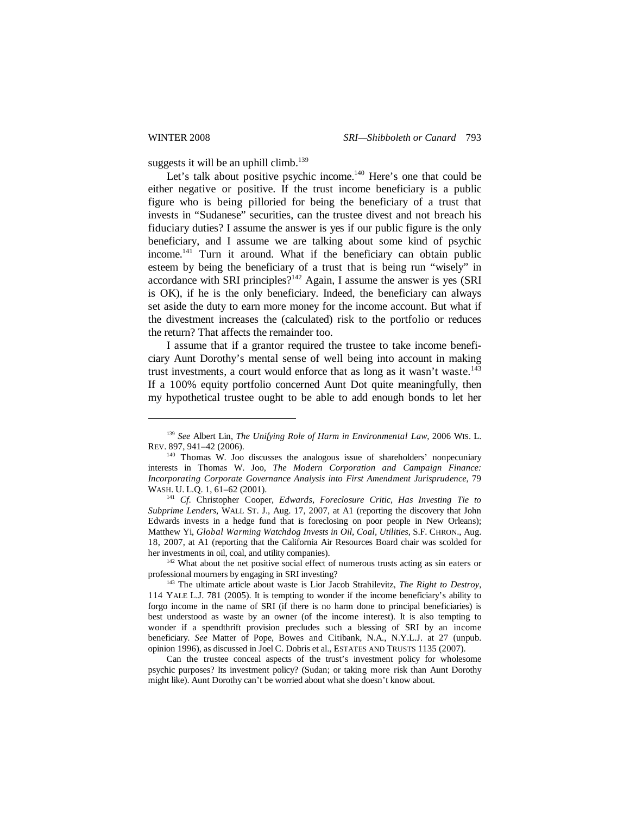suggests it will be an uphill climb. $139$ 

Let's talk about positive psychic income.<sup>140</sup> Here's one that could be either negative or positive. If the trust income beneficiary is a public figure who is being pilloried for being the beneficiary of a trust that invests in "Sudanese" securities, can the trustee divest and not breach his fiduciary duties? I assume the answer is yes if our public figure is the only beneficiary, and I assume we are talking about some kind of psychic income.141 Turn it around. What if the beneficiary can obtain public esteem by being the beneficiary of a trust that is being run "wisely" in accordance with SRI principles?<sup>142</sup> Again, I assume the answer is yes (SRI is OK), if he is the only beneficiary. Indeed, the beneficiary can always set aside the duty to earn more money for the income account. But what if the divestment increases the (calculated) risk to the portfolio or reduces the return? That affects the remainder too.

I assume that if a grantor required the trustee to take income beneficiary Aunt Dorothy's mental sense of well being into account in making trust investments, a court would enforce that as long as it wasn't waste.<sup>143</sup> If a 100% equity portfolio concerned Aunt Dot quite meaningfully, then my hypothetical trustee ought to be able to add enough bonds to let her

<sup>141</sup> *Cf*. Christopher Cooper, *Edwards, Foreclosure Critic, Has Investing Tie to Subprime Lenders*, WALL ST. J., Aug. 17, 2007, at A1 (reporting the discovery that John Edwards invests in a hedge fund that is foreclosing on poor people in New Orleans); Matthew Yi, *Global Warming Watchdog Invests in Oil, Coal, Utilities*, S.F. CHRON., Aug. 18, 2007, at A1 (reporting that the California Air Resources Board chair was scolded for her investments in oil, coal, and utility companies).

<sup>142</sup> What about the net positive social effect of numerous trusts acting as sin eaters or professional mourners by engaging in SRI investing?

Can the trustee conceal aspects of the trust's investment policy for wholesome psychic purposes? Its investment policy? (Sudan; or taking more risk than Aunt Dorothy might like). Aunt Dorothy can't be worried about what she doesn't know about.

<sup>139</sup> *See* Albert Lin, *The Unifying Role of Harm in Environmental Law*, 2006 WIS. L. REV. 897, 941–42 (2006).

<sup>&</sup>lt;sup>140</sup> Thomas W. Joo discusses the analogous issue of shareholders' nonpecuniary interests in Thomas W. Joo, *The Modern Corporation and Campaign Finance: Incorporating Corporate Governance Analysis into First Amendment Jurisprudence*, 79 WASH. U. L.Q. 1, 61–62 (2001).

<sup>143</sup> The ultimate article about waste is Lior Jacob Strahilevitz, *The Right to Destroy*, 114 YALE L.J. 781 (2005). It is tempting to wonder if the income beneficiary's ability to forgo income in the name of SRI (if there is no harm done to principal beneficiaries) is best understood as waste by an owner (of the income interest). It is also tempting to wonder if a spendthrift provision precludes such a blessing of SRI by an income beneficiary. *See* Matter of Pope, Bowes and Citibank, N.A., N.Y.L.J. at 27 (unpub. opinion 1996), as discussed in Joel C. Dobris et al., ESTATES AND TRUSTS 1135 (2007).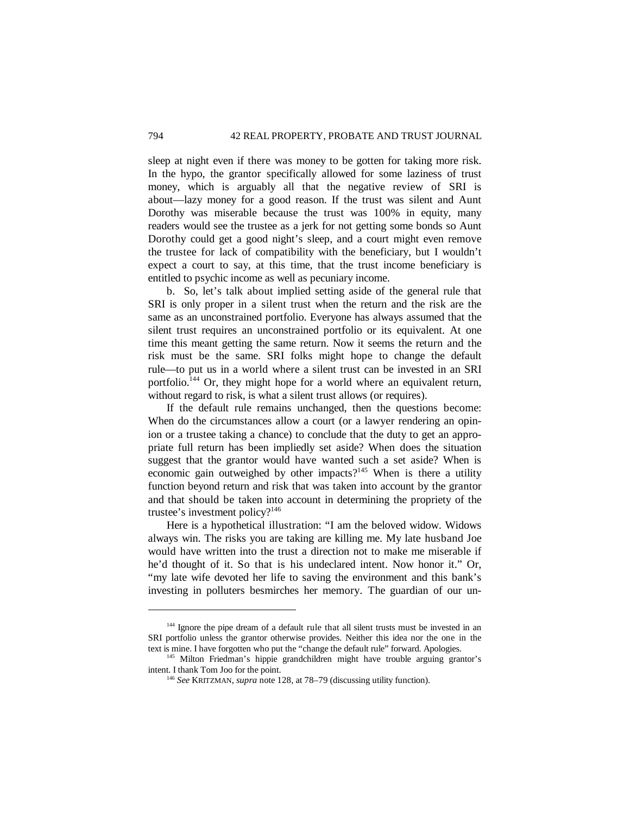sleep at night even if there was money to be gotten for taking more risk. In the hypo, the grantor specifically allowed for some laziness of trust money, which is arguably all that the negative review of SRI is about—lazy money for a good reason. If the trust was silent and Aunt Dorothy was miserable because the trust was 100% in equity, many readers would see the trustee as a jerk for not getting some bonds so Aunt Dorothy could get a good night's sleep, and a court might even remove the trustee for lack of compatibility with the beneficiary, but I wouldn't expect a court to say, at this time, that the trust income beneficiary is entitled to psychic income as well as pecuniary income.

b. So, let's talk about implied setting aside of the general rule that SRI is only proper in a silent trust when the return and the risk are the same as an unconstrained portfolio. Everyone has always assumed that the silent trust requires an unconstrained portfolio or its equivalent. At one time this meant getting the same return. Now it seems the return and the risk must be the same. SRI folks might hope to change the default rule—to put us in a world where a silent trust can be invested in an SRI portfolio.<sup>144</sup> Or, they might hope for a world where an equivalent return, without regard to risk, is what a silent trust allows (or requires).

If the default rule remains unchanged, then the questions become: When do the circumstances allow a court (or a lawyer rendering an opinion or a trustee taking a chance) to conclude that the duty to get an appropriate full return has been impliedly set aside? When does the situation suggest that the grantor would have wanted such a set aside? When is economic gain outweighed by other impacts?<sup>145</sup> When is there a utility function beyond return and risk that was taken into account by the grantor and that should be taken into account in determining the propriety of the trustee's investment policy?146

Here is a hypothetical illustration: "I am the beloved widow. Widows always win. The risks you are taking are killing me. My late husband Joe would have written into the trust a direction not to make me miserable if he'd thought of it. So that is his undeclared intent. Now honor it." Or, "my late wife devoted her life to saving the environment and this bank's investing in polluters besmirches her memory. The guardian of our un-

<sup>&</sup>lt;sup>144</sup> Ignore the pipe dream of a default rule that all silent trusts must be invested in an SRI portfolio unless the grantor otherwise provides. Neither this idea nor the one in the text is mine. I have forgotten who put the "change the default rule" forward. Apologies.

<sup>&</sup>lt;sup>145</sup> Milton Friedman's hippie grandchildren might have trouble arguing grantor's intent. I thank Tom Joo for the point.

<sup>146</sup> *See* KRITZMAN, *supra* note 128, at 78–79 (discussing utility function).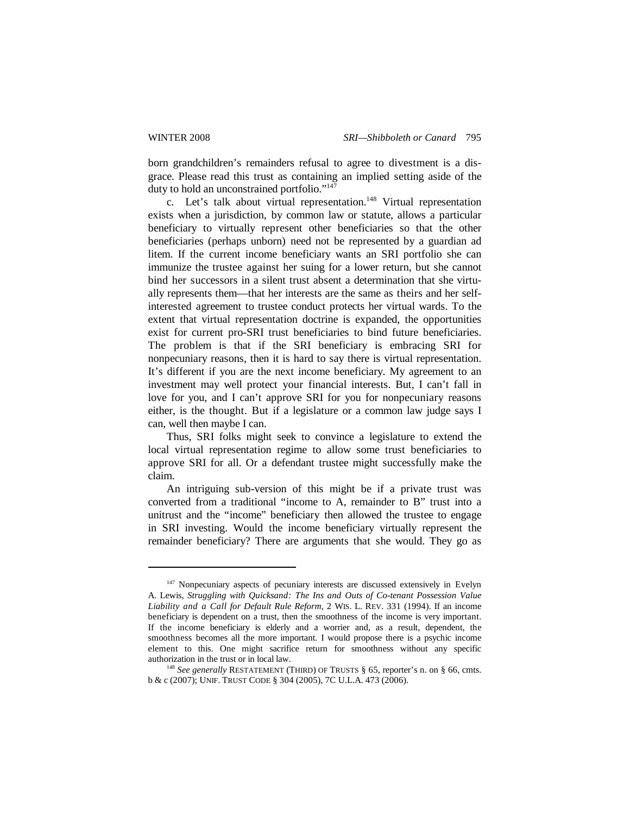born grandchildren's remainders refusal to agree to divestment is a disgrace. Please read this trust as containing an implied setting aside of the duty to hold an unconstrained portfolio."<sup>147</sup>

c. Let's talk about virtual representation.<sup>148</sup> Virtual representation exists when a jurisdiction, by common law or statute, allows a particular beneficiary to virtually represent other beneficiaries so that the other beneficiaries (perhaps unborn) need not be represented by a guardian ad litem. If the current income beneficiary wants an SRI portfolio she can immunize the trustee against her suing for a lower return, but she cannot bind her successors in a silent trust absent a determination that she virtually represents them—that her interests are the same as theirs and her selfinterested agreement to trustee conduct protects her virtual wards. To the extent that virtual representation doctrine is expanded, the opportunities exist for current pro-SRI trust beneficiaries to bind future beneficiaries. The problem is that if the SRI beneficiary is embracing SRI for nonpecuniary reasons, then it is hard to say there is virtual representation. It's different if you are the next income beneficiary. My agreement to an investment may well protect your financial interests. But, I can't fall in love for you, and I can't approve SRI for you for nonpecuniary reasons either, is the thought. But if a legislature or a common law judge says I can, well then maybe I can.

Thus, SRI folks might seek to convince a legislature to extend the local virtual representation regime to allow some trust beneficiaries to approve SRI for all. Or a defendant trustee might successfully make the claim.

An intriguing sub-version of this might be if a private trust was converted from a traditional "income to A, remainder to B" trust into a unitrust and the "income" beneficiary then allowed the trustee to engage in SRI investing. Would the income beneficiary virtually represent the remainder beneficiary? There are arguments that she would. They go as

<sup>&</sup>lt;sup>147</sup> Nonpecuniary aspects of pecuniary interests are discussed extensively in Evelyn A. Lewis, *Struggling with Quicksand: The Ins and Outs of Co-tenant Possession Value Liability and a Call for Default Rule Reform*, 2 WIS. L. REV. 331 (1994). If an income beneficiary is dependent on a trust, then the smoothness of the income is very important. If the income beneficiary is elderly and a worrier and, as a result, dependent, the smoothness becomes all the more important. I would propose there is a psychic income element to this. One might sacrifice return for smoothness without any specific authorization in the trust or in local law.

<sup>&</sup>lt;sup>148</sup> *See generally* RESTATEMENT (THIRD) OF TRUSTS § 65, reporter's n. on § 66, cmts. b & c (2007); UNIF. TRUST CODE § 304 (2005), 7C U.L.A. 473 (2006).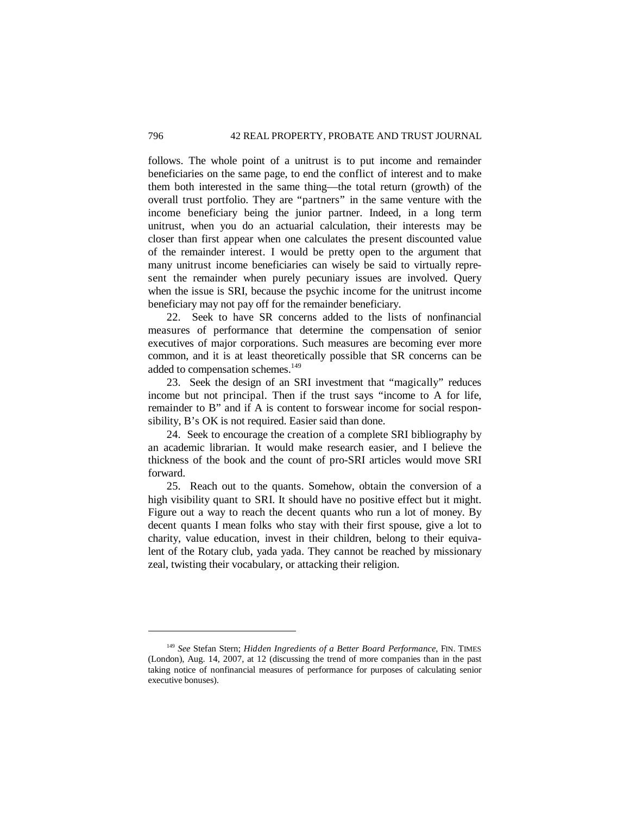follows. The whole point of a unitrust is to put income and remainder beneficiaries on the same page, to end the conflict of interest and to make them both interested in the same thing—the total return (growth) of the overall trust portfolio. They are "partners" in the same venture with the income beneficiary being the junior partner. Indeed, in a long term unitrust, when you do an actuarial calculation, their interests may be closer than first appear when one calculates the present discounted value of the remainder interest. I would be pretty open to the argument that many unitrust income beneficiaries can wisely be said to virtually represent the remainder when purely pecuniary issues are involved. Query when the issue is SRI, because the psychic income for the unitrust income beneficiary may not pay off for the remainder beneficiary.

22. Seek to have SR concerns added to the lists of nonfinancial measures of performance that determine the compensation of senior executives of major corporations. Such measures are becoming ever more common, and it is at least theoretically possible that SR concerns can be added to compensation schemes.<sup>149</sup>

23. Seek the design of an SRI investment that "magically" reduces income but not principal. Then if the trust says "income to A for life, remainder to B" and if A is content to forswear income for social responsibility, B's OK is not required. Easier said than done.

24. Seek to encourage the creation of a complete SRI bibliography by an academic librarian. It would make research easier, and I believe the thickness of the book and the count of pro-SRI articles would move SRI forward.

25. Reach out to the quants. Somehow, obtain the conversion of a high visibility quant to SRI. It should have no positive effect but it might. Figure out a way to reach the decent quants who run a lot of money. By decent quants I mean folks who stay with their first spouse, give a lot to charity, value education, invest in their children, belong to their equivalent of the Rotary club, yada yada. They cannot be reached by missionary zeal, twisting their vocabulary, or attacking their religion.

<sup>&</sup>lt;sup>149</sup> See Stefan Stern; *Hidden Ingredients of a Better Board Performance*, FIN. TIMES (London), Aug. 14, 2007, at 12 (discussing the trend of more companies than in the past taking notice of nonfinancial measures of performance for purposes of calculating senior executive bonuses).